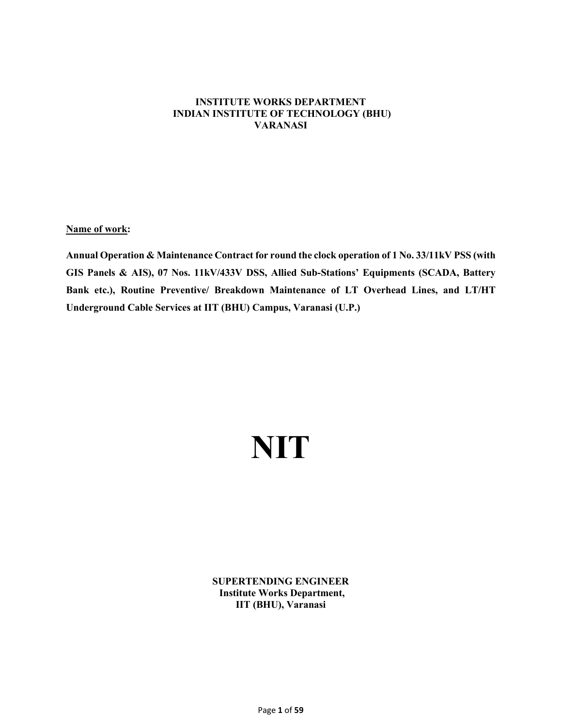# **INSTITUTE WORKS DEPARTMENT INDIAN INSTITUTE OF TECHNOLOGY (BHU) VARANASI**

**Name of work:**

**Annual Operation & Maintenance Contract for round the clock operation of 1 No. 33/11kV PSS (with GIS Panels & AIS), 07 Nos. 11kV/433V DSS, Allied Sub-Stations' Equipments (SCADA, Battery Bank etc.), Routine Preventive/ Breakdown Maintenance of LT Overhead Lines, and LT/HT Underground Cable Services at IIT (BHU) Campus, Varanasi (U.P.)**

# **NIT**

**SUPERTENDING ENGINEER Institute Works Department, IIT (BHU), Varanasi**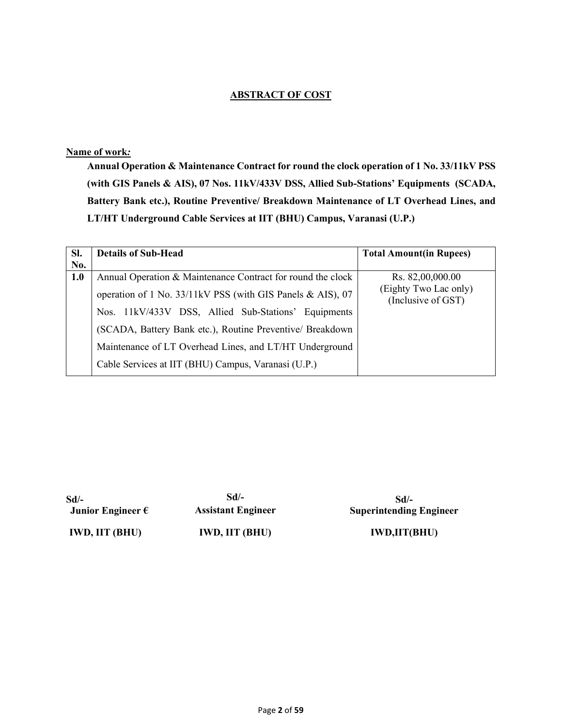# **ABSTRACT OF COST**

# **Name of work***:*

**Annual Operation & Maintenance Contract for round the clock operation of 1 No. 33/11kV PSS (with GIS Panels & AIS), 07 Nos. 11kV/433V DSS, Allied Sub-Stations' Equipments (SCADA, Battery Bank etc.), Routine Preventive/ Breakdown Maintenance of LT Overhead Lines, and LT/HT Underground Cable Services at IIT (BHU) Campus, Varanasi (U.P.)**

| SI. | <b>Details of Sub-Head</b>                                  | <b>Total Amount(in Rupees)</b>              |
|-----|-------------------------------------------------------------|---------------------------------------------|
| No. |                                                             |                                             |
| 1.0 | Annual Operation & Maintenance Contract for round the clock | Rs. 82,00,000.00                            |
|     | operation of 1 No. 33/11kV PSS (with GIS Panels & AIS), 07  | (Eighty Two Lac only)<br>(Inclusive of GST) |
|     | 11kV/433V DSS, Allied Sub-Stations' Equipments<br>Nos.      |                                             |
|     | (SCADA, Battery Bank etc.), Routine Preventive/ Breakdown   |                                             |
|     | Maintenance of LT Overhead Lines, and LT/HT Underground     |                                             |
|     | Cable Services at IIT (BHU) Campus, Varanasi (U.P.)         |                                             |

**Sd/- Junior Engineer €**

**Sd/- Assistant Engineer**

**Sd/- Superintending Engineer** 

**IWD, IIT (BHU) IWD, IIT (BHU) IWD,IIT(BHU)**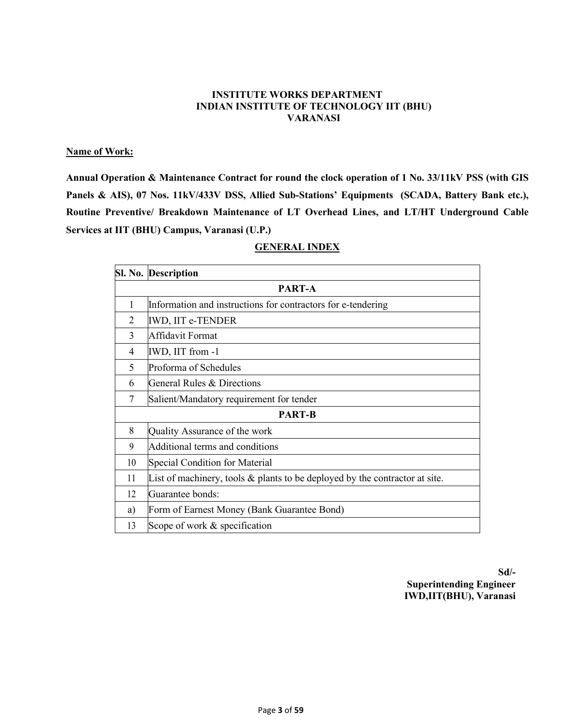## **INSTITUTE WORKS DEPARTMENT INDIAN INSTITUTE OF TECHNOLOGY IIT (BHU) VARANASI**

# **Name of Work:**

**Annual Operation & Maintenance Contract for round the clock operation of 1 No. 33/11kV PSS (with GIS Panels & AIS), 07 Nos. 11kV/433V DSS, Allied Sub-Stations' Equipments (SCADA, Battery Bank etc.), Routine Preventive/ Breakdown Maintenance of LT Overhead Lines, and LT/HT Underground Cable Services at IIT (BHU) Campus, Varanasi (U.P.)**

# **GENERAL INDEX**

|                | Sl. No. Description                                                            |
|----------------|--------------------------------------------------------------------------------|
|                | PART-A                                                                         |
| 1              | Information and instructions for contractors for e-tendering                   |
| $\overline{2}$ | <b>IWD, IIT e-TENDER</b>                                                       |
| 3              | Affidavit Format                                                               |
| 4              | IWD, IIT from -1                                                               |
| 5              | Proforma of Schedules                                                          |
| 6              | General Rules & Directions                                                     |
| 7              | Salient/Mandatory requirement for tender                                       |
|                | <b>PART-B</b>                                                                  |
| 8              | Quality Assurance of the work                                                  |
| 9              | Additional terms and conditions                                                |
| 10             | Special Condition for Material                                                 |
| 11             | List of machinery, tools $\&$ plants to be deployed by the contractor at site. |
| 12             | Guarantee bonds:                                                               |
| a)             | Form of Earnest Money (Bank Guarantee Bond)                                    |
| 13             | Scope of work & specification                                                  |

**Sd/- Superintending Engineer IWD,IIT(BHU), Varanasi**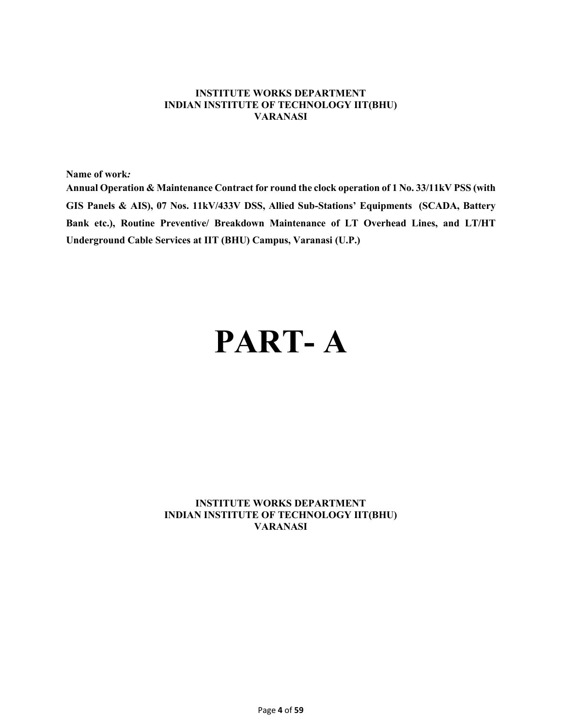## **INSTITUTE WORKS DEPARTMENT INDIAN INSTITUTE OF TECHNOLOGY IIT(BHU) VARANASI**

**Name of work***:*

**Annual Operation & Maintenance Contract for round the clock operation of 1 No. 33/11kV PSS (with GIS Panels & AIS), 07 Nos. 11kV/433V DSS, Allied Sub-Stations' Equipments (SCADA, Battery Bank etc.), Routine Preventive/ Breakdown Maintenance of LT Overhead Lines, and LT/HT Underground Cable Services at IIT (BHU) Campus, Varanasi (U.P.)**

# **PART- A**

# **INSTITUTE WORKS DEPARTMENT INDIAN INSTITUTE OF TECHNOLOGY IIT(BHU) VARANASI**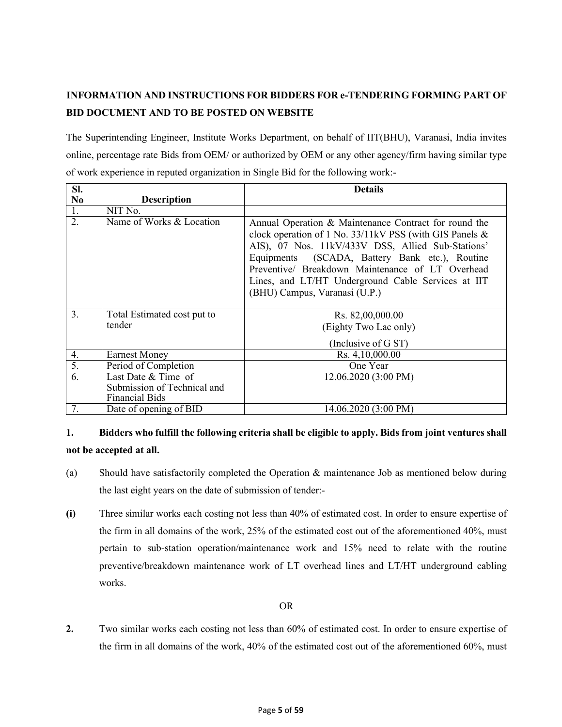# **INFORMATION AND INSTRUCTIONS FOR BIDDERS FOR e-TENDERING FORMING PART OF BID DOCUMENT AND TO BE POSTED ON WEBSITE**

The Superintending Engineer, Institute Works Department, on behalf of IIT(BHU), Varanasi, India invites online, percentage rate Bids from OEM/ or authorized by OEM or any other agency/firm having similar type of work experience in reputed organization in Single Bid for the following work:-

| SI.              |                                                                             | <b>Details</b>                                                                                                                                                                                                                                                                                                                                                     |
|------------------|-----------------------------------------------------------------------------|--------------------------------------------------------------------------------------------------------------------------------------------------------------------------------------------------------------------------------------------------------------------------------------------------------------------------------------------------------------------|
| N <sub>0</sub>   | <b>Description</b>                                                          |                                                                                                                                                                                                                                                                                                                                                                    |
| 1.               | NIT No.                                                                     |                                                                                                                                                                                                                                                                                                                                                                    |
| 2.               | Name of Works & Location                                                    | Annual Operation & Maintenance Contract for round the<br>clock operation of 1 No. 33/11kV PSS (with GIS Panels &<br>AIS), 07 Nos. 11kV/433V DSS, Allied Sub-Stations'<br>Equipments (SCADA, Battery Bank etc.), Routine<br>Preventive/ Breakdown Maintenance of LT Overhead<br>Lines, and LT/HT Underground Cable Services at IIT<br>(BHU) Campus, Varanasi (U.P.) |
| $\overline{3}$ . | Total Estimated cost put to<br>tender                                       | Rs. 82,00,000.00<br>(Eighty Two Lac only)<br>(Inclusive of G ST)                                                                                                                                                                                                                                                                                                   |
| 4.               | <b>Earnest Money</b>                                                        | Rs. 4,10,000.00                                                                                                                                                                                                                                                                                                                                                    |
| 5.               | Period of Completion                                                        | One Year                                                                                                                                                                                                                                                                                                                                                           |
| $\overline{6}$ . | Last Date & Time of<br>Submission of Technical and<br><b>Financial Bids</b> | 12.06.2020 (3:00 PM)                                                                                                                                                                                                                                                                                                                                               |
| 7.               | Date of opening of BID                                                      | 14.06.2020 (3:00 PM)                                                                                                                                                                                                                                                                                                                                               |

# **1. Bidders who fulfill the following criteria shall be eligible to apply. Bids from joint ventures shall not be accepted at all.**

- (a) Should have satisfactorily completed the Operation & maintenance Job as mentioned below during the last eight years on the date of submission of tender:-
- **(i)** Three similar works each costing not less than 40% of estimated cost. In order to ensure expertise of the firm in all domains of the work, 25% of the estimated cost out of the aforementioned 40%, must pertain to sub-station operation/maintenance work and 15% need to relate with the routine preventive/breakdown maintenance work of LT overhead lines and LT/HT underground cabling works.

# OR

**2.** Two similar works each costing not less than 60% of estimated cost. In order to ensure expertise of the firm in all domains of the work, 40% of the estimated cost out of the aforementioned 60%, must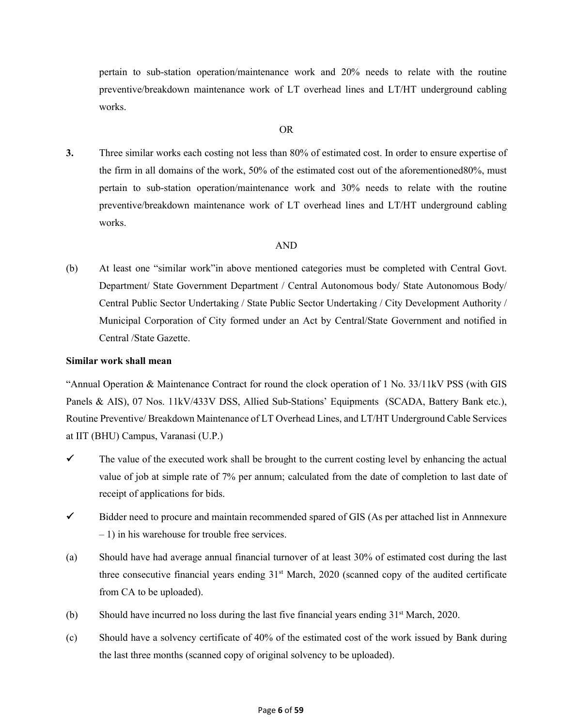pertain to sub-station operation/maintenance work and 20% needs to relate with the routine preventive/breakdown maintenance work of LT overhead lines and LT/HT underground cabling works.

#### OR

**3.** Three similar works each costing not less than 80% of estimated cost. In order to ensure expertise of the firm in all domains of the work, 50% of the estimated cost out of the aforementioned80%, must pertain to sub-station operation/maintenance work and 30% needs to relate with the routine preventive/breakdown maintenance work of LT overhead lines and LT/HT underground cabling works.

### AND

(b) At least one "similar work"in above mentioned categories must be completed with Central Govt. Department/ State Government Department / Central Autonomous body/ State Autonomous Body/ Central Public Sector Undertaking / State Public Sector Undertaking / City Development Authority / Municipal Corporation of City formed under an Act by Central/State Government and notified in Central /State Gazette.

### **Similar work shall mean**

"Annual Operation & Maintenance Contract for round the clock operation of 1 No. 33/11kV PSS (with GIS Panels & AIS), 07 Nos. 11kV/433V DSS, Allied Sub-Stations' Equipments (SCADA, Battery Bank etc.), Routine Preventive/ Breakdown Maintenance of LT Overhead Lines, and LT/HT Underground Cable Services at IIT (BHU) Campus, Varanasi (U.P.)

- $\checkmark$  The value of the executed work shall be brought to the current costing level by enhancing the actual value of job at simple rate of 7% per annum; calculated from the date of completion to last date of receipt of applications for bids.
- $\checkmark$  Bidder need to procure and maintain recommended spared of GIS (As per attached list in Annnexure – 1) in his warehouse for trouble free services.
- (a) Should have had average annual financial turnover of at least 30% of estimated cost during the last three consecutive financial years ending 31<sup>st</sup> March, 2020 (scanned copy of the audited certificate from CA to be uploaded).
- (b) Should have incurred no loss during the last five financial years ending  $31<sup>st</sup>$  March, 2020.
- (c) Should have a solvency certificate of 40% of the estimated cost of the work issued by Bank during the last three months (scanned copy of original solvency to be uploaded).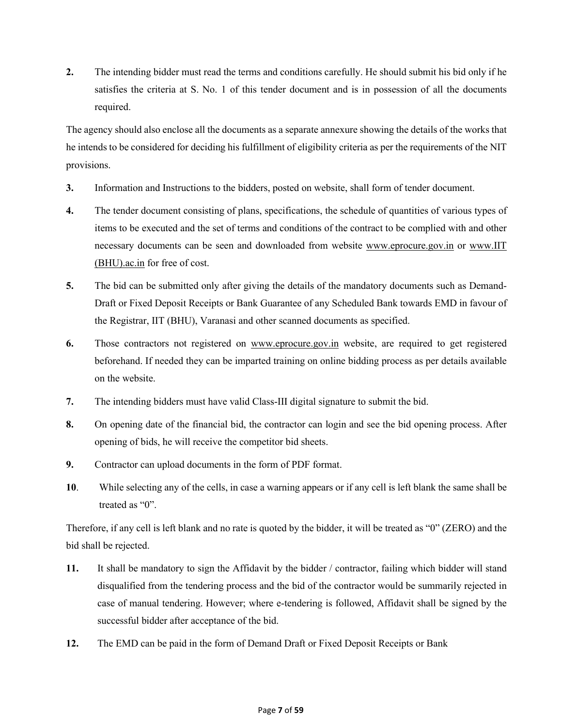**2.** The intending bidder must read the terms and conditions carefully. He should submit his bid only if he satisfies the criteria at S. No. 1 of this tender document and is in possession of all the documents required.

The agency should also enclose all the documents as a separate annexure showing the details of the works that he intends to be considered for deciding his fulfillment of eligibility criteria as per the requirements of the NIT provisions.

- **3.** Information and Instructions to the bidders, posted on website, shall form of tender document.
- **4.** The tender document consisting of plans, specifications, the schedule of quantities of various types of items to be executed and the set of terms and conditions of the contract to be complied with and other necessary documents can be seen and downloaded from website www.eprocure.gov.in or www.IIT (BHU).ac.in for free of cost.
- **5.** The bid can be submitted only after giving the details of the mandatory documents such as Demand-Draft or Fixed Deposit Receipts or Bank Guarantee of any Scheduled Bank towards EMD in favour of the Registrar, IIT (BHU), Varanasi and other scanned documents as specified.
- **6.** Those contractors not registered on www.eprocure.gov.in website, are required to get registered beforehand. If needed they can be imparted training on online bidding process as per details available on the website.
- **7.** The intending bidders must have valid Class-III digital signature to submit the bid.
- **8.** On opening date of the financial bid, the contractor can login and see the bid opening process. After opening of bids, he will receive the competitor bid sheets.
- **9.** Contractor can upload documents in the form of PDF format.
- **10**. While selecting any of the cells, in case a warning appears or if any cell is left blank the same shall be treated as "0".

Therefore, if any cell is left blank and no rate is quoted by the bidder, it will be treated as "0" (ZERO) and the bid shall be rejected.

- **11.** It shall be mandatory to sign the Affidavit by the bidder / contractor, failing which bidder will stand disqualified from the tendering process and the bid of the contractor would be summarily rejected in case of manual tendering. However; where e-tendering is followed, Affidavit shall be signed by the successful bidder after acceptance of the bid.
- **12.** The EMD can be paid in the form of Demand Draft or Fixed Deposit Receipts or Bank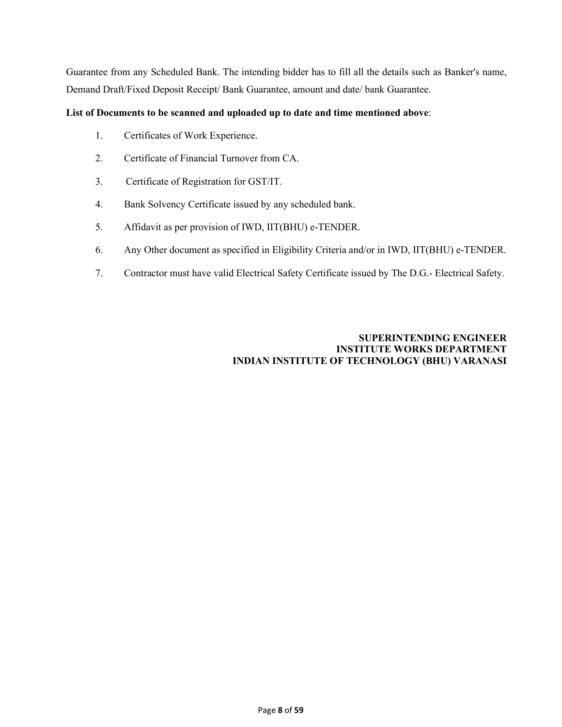Guarantee from any Scheduled Bank. The intending bidder has to fill all the details such as Banker's name, Demand Draft/Fixed Deposit Receipt/ Bank Guarantee, amount and date/ bank Guarantee.

## **List of Documents to be scanned and uploaded up to date and time mentioned above**:

- 1. Certificates of Work Experience.
- 2. Certificate of Financial Turnover from CA.
- 3. Certificate of Registration for GST/IT.
- 4. Bank Solvency Certificate issued by any scheduled bank.
- 5. Affidavit as per provision of IWD, IIT(BHU) e-TENDER.
- 6. Any Other document as specified in Eligibility Criteria and/or in IWD, IIT(BHU) e-TENDER.
- 7. Contractor must have valid Electrical Safety Certificate issued by The D.G.- Electrical Safety.

# **SUPERINTENDING ENGINEER INSTITUTE WORKS DEPARTMENT INDIAN INSTITUTE OF TECHNOLOGY (BHU) VARANASI**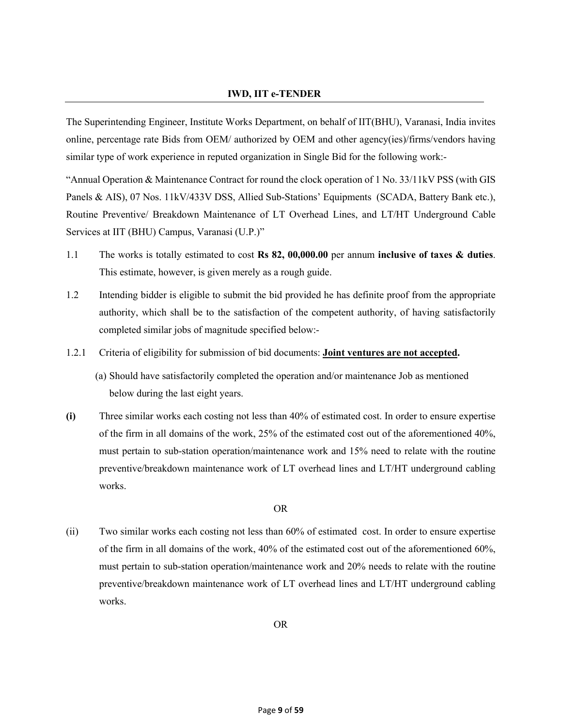### **IWD, IIT e-TENDER**

The Superintending Engineer, Institute Works Department, on behalf of IIT(BHU), Varanasi, India invites online, percentage rate Bids from OEM/ authorized by OEM and other agency(ies)/firms/vendors having similar type of work experience in reputed organization in Single Bid for the following work:-

"Annual Operation & Maintenance Contract for round the clock operation of 1 No. 33/11kV PSS (with GIS Panels & AIS), 07 Nos. 11kV/433V DSS, Allied Sub-Stations' Equipments (SCADA, Battery Bank etc.), Routine Preventive/ Breakdown Maintenance of LT Overhead Lines, and LT/HT Underground Cable Services at IIT (BHU) Campus, Varanasi (U.P.)"

- 1.1 The works is totally estimated to cost **Rs 82, 00,000.00** per annum **inclusive of taxes & duties**. This estimate, however, is given merely as a rough guide.
- 1.2 Intending bidder is eligible to submit the bid provided he has definite proof from the appropriate authority, which shall be to the satisfaction of the competent authority, of having satisfactorily completed similar jobs of magnitude specified below:-
- 1.2.1 Criteria of eligibility for submission of bid documents: **Joint ventures are not accepted.**
	- (a) Should have satisfactorily completed the operation and/or maintenance Job as mentioned below during the last eight years.
- **(i)** Three similar works each costing not less than 40% of estimated cost. In order to ensure expertise of the firm in all domains of the work, 25% of the estimated cost out of the aforementioned 40%, must pertain to sub-station operation/maintenance work and 15% need to relate with the routine preventive/breakdown maintenance work of LT overhead lines and LT/HT underground cabling works.

#### OR

(ii) Two similar works each costing not less than 60% of estimated cost. In order to ensure expertise of the firm in all domains of the work, 40% of the estimated cost out of the aforementioned 60%, must pertain to sub-station operation/maintenance work and 20% needs to relate with the routine preventive/breakdown maintenance work of LT overhead lines and LT/HT underground cabling works.

OR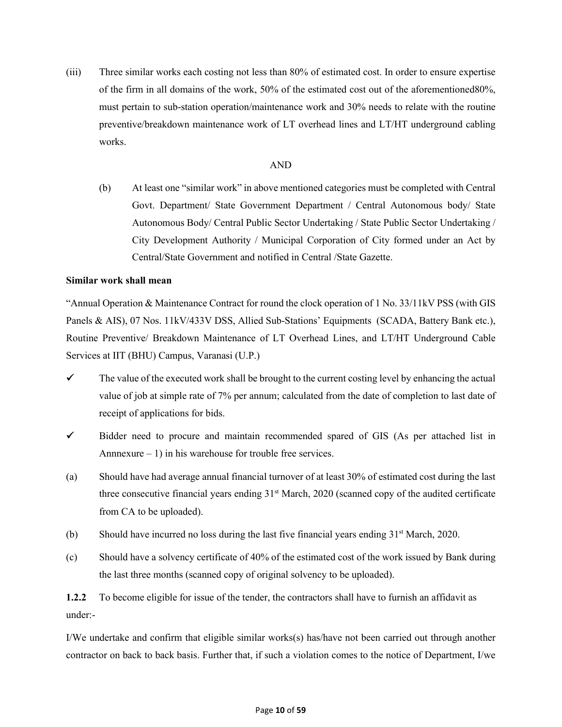(iii) Three similar works each costing not less than 80% of estimated cost. In order to ensure expertise of the firm in all domains of the work, 50% of the estimated cost out of the aforementioned80%, must pertain to sub-station operation/maintenance work and 30% needs to relate with the routine preventive/breakdown maintenance work of LT overhead lines and LT/HT underground cabling works.

## AND

(b) At least one "similar work" in above mentioned categories must be completed with Central Govt. Department/ State Government Department / Central Autonomous body/ State Autonomous Body/ Central Public Sector Undertaking / State Public Sector Undertaking / City Development Authority / Municipal Corporation of City formed under an Act by Central/State Government and notified in Central /State Gazette.

## **Similar work shall mean**

"Annual Operation & Maintenance Contract for round the clock operation of 1 No. 33/11kV PSS (with GIS Panels & AIS), 07 Nos. 11kV/433V DSS, Allied Sub-Stations' Equipments (SCADA, Battery Bank etc.), Routine Preventive/ Breakdown Maintenance of LT Overhead Lines, and LT/HT Underground Cable Services at IIT (BHU) Campus, Varanasi (U.P.)

- $\checkmark$  The value of the executed work shall be brought to the current costing level by enhancing the actual value of job at simple rate of 7% per annum; calculated from the date of completion to last date of receipt of applications for bids.
- $\checkmark$  Bidder need to procure and maintain recommended spared of GIS (As per attached list in Annnexure  $-1$ ) in his warehouse for trouble free services.
- (a) Should have had average annual financial turnover of at least 30% of estimated cost during the last three consecutive financial years ending  $31<sup>st</sup>$  March, 2020 (scanned copy of the audited certificate from CA to be uploaded).
- (b) Should have incurred no loss during the last five financial years ending  $31<sup>st</sup>$  March, 2020.
- (c) Should have a solvency certificate of 40% of the estimated cost of the work issued by Bank during the last three months (scanned copy of original solvency to be uploaded).

**1.2.2** To become eligible for issue of the tender, the contractors shall have to furnish an affidavit as under:-

I/We undertake and confirm that eligible similar works(s) has/have not been carried out through another contractor on back to back basis. Further that, if such a violation comes to the notice of Department, I/we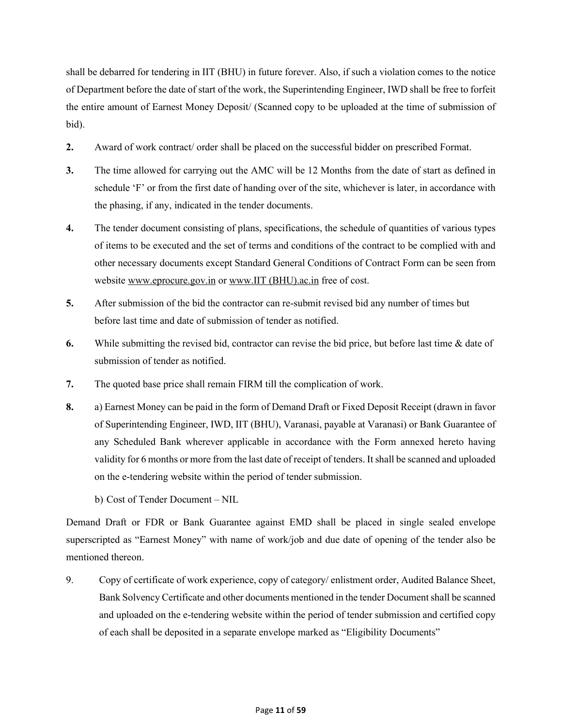shall be debarred for tendering in IIT (BHU) in future forever. Also, if such a violation comes to the notice of Department before the date of start of the work, the Superintending Engineer, IWD shall be free to forfeit the entire amount of Earnest Money Deposit/ (Scanned copy to be uploaded at the time of submission of bid).

- **2.** Award of work contract/ order shall be placed on the successful bidder on prescribed Format.
- **3.** The time allowed for carrying out the AMC will be 12 Months from the date of start as defined in schedule 'F' or from the first date of handing over of the site, whichever is later, in accordance with the phasing, if any, indicated in the tender documents.
- **4.** The tender document consisting of plans, specifications, the schedule of quantities of various types of items to be executed and the set of terms and conditions of the contract to be complied with and other necessary documents except Standard General Conditions of Contract Form can be seen from website www.eprocure.gov.in or www.IIT (BHU).ac.in free of cost.
- **5.** After submission of the bid the contractor can re-submit revised bid any number of times but before last time and date of submission of tender as notified.
- **6.** While submitting the revised bid, contractor can revise the bid price, but before last time & date of submission of tender as notified.
- **7.** The quoted base price shall remain FIRM till the complication of work.
- **8.** a) Earnest Money can be paid in the form of Demand Draft or Fixed Deposit Receipt (drawn in favor of Superintending Engineer, IWD, IIT (BHU), Varanasi, payable at Varanasi) or Bank Guarantee of any Scheduled Bank wherever applicable in accordance with the Form annexed hereto having validity for 6 months or more from the last date of receipt of tenders. It shall be scanned and uploaded on the e-tendering website within the period of tender submission.
	- b) Cost of Tender Document NIL

Demand Draft or FDR or Bank Guarantee against EMD shall be placed in single sealed envelope superscripted as "Earnest Money" with name of work/job and due date of opening of the tender also be mentioned thereon.

9. Copy of certificate of work experience, copy of category/ enlistment order, Audited Balance Sheet, Bank Solvency Certificate and other documents mentioned in the tender Document shall be scanned and uploaded on the e-tendering website within the period of tender submission and certified copy of each shall be deposited in a separate envelope marked as "Eligibility Documents"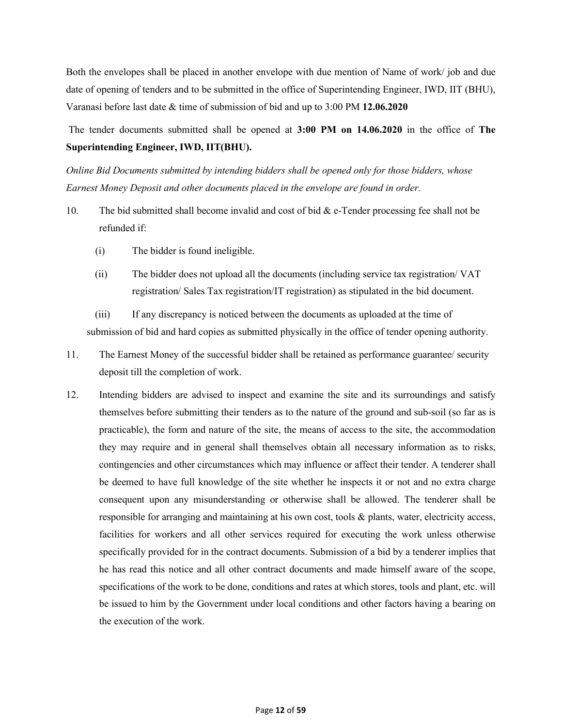Both the envelopes shall be placed in another envelope with due mention of Name of work/ job and due date of opening of tenders and to be submitted in the office of Superintending Engineer, IWD, IIT (BHU), Varanasi before last date & time of submission of bid and up to 3:00 PM **12.06.2020**

The tender documents submitted shall be opened at **3:00 PM on 14.06.2020** in the office of **The Superintending Engineer, IWD, IIT(BHU).**

*Online Bid Documents submitted by intending bidders shall be opened only for those bidders, whose Earnest Money Deposit and other documents placed in the envelope are found in order.*

- 10. The bid submitted shall become invalid and cost of bid & e-Tender processing fee shall not be refunded if:
	- (i) The bidder is found ineligible.
	- (ii) The bidder does not upload all the documents (including service tax registration/ VAT registration/ Sales Tax registration/IT registration) as stipulated in the bid document.

(iii) If any discrepancy is noticed between the documents as uploaded at the time of submission of bid and hard copies as submitted physically in the office of tender opening authority.

- 11. The Earnest Money of the successful bidder shall be retained as performance guarantee/ security deposit till the completion of work.
- 12. Intending bidders are advised to inspect and examine the site and its surroundings and satisfy themselves before submitting their tenders as to the nature of the ground and sub-soil (so far as is practicable), the form and nature of the site, the means of access to the site, the accommodation they may require and in general shall themselves obtain all necessary information as to risks, contingencies and other circumstances which may influence or affect their tender. A tenderer shall be deemed to have full knowledge of the site whether he inspects it or not and no extra charge consequent upon any misunderstanding or otherwise shall be allowed. The tenderer shall be responsible for arranging and maintaining at his own cost, tools & plants, water, electricity access, facilities for workers and all other services required for executing the work unless otherwise specifically provided for in the contract documents. Submission of a bid by a tenderer implies that he has read this notice and all other contract documents and made himself aware of the scope, specifications of the work to be done, conditions and rates at which stores, tools and plant, etc. will be issued to him by the Government under local conditions and other factors having a bearing on the execution of the work.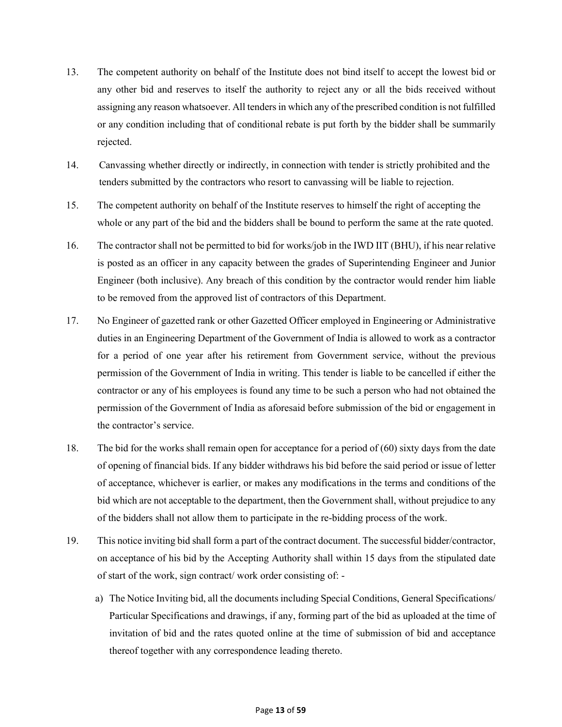- 13. The competent authority on behalf of the Institute does not bind itself to accept the lowest bid or any other bid and reserves to itself the authority to reject any or all the bids received without assigning any reason whatsoever. All tenders in which any of the prescribed condition is not fulfilled or any condition including that of conditional rebate is put forth by the bidder shall be summarily rejected.
- 14. Canvassing whether directly or indirectly, in connection with tender is strictly prohibited and the tenders submitted by the contractors who resort to canvassing will be liable to rejection.
- 15. The competent authority on behalf of the Institute reserves to himself the right of accepting the whole or any part of the bid and the bidders shall be bound to perform the same at the rate quoted.
- 16. The contractor shall not be permitted to bid for works/job in the IWD IIT (BHU), if his near relative is posted as an officer in any capacity between the grades of Superintending Engineer and Junior Engineer (both inclusive). Any breach of this condition by the contractor would render him liable to be removed from the approved list of contractors of this Department.
- 17. No Engineer of gazetted rank or other Gazetted Officer employed in Engineering or Administrative duties in an Engineering Department of the Government of India is allowed to work as a contractor for a period of one year after his retirement from Government service, without the previous permission of the Government of India in writing. This tender is liable to be cancelled if either the contractor or any of his employees is found any time to be such a person who had not obtained the permission of the Government of India as aforesaid before submission of the bid or engagement in the contractor's service.
- 18. The bid for the works shall remain open for acceptance for a period of (60) sixty days from the date of opening of financial bids. If any bidder withdraws his bid before the said period or issue of letter of acceptance, whichever is earlier, or makes any modifications in the terms and conditions of the bid which are not acceptable to the department, then the Government shall, without prejudice to any of the bidders shall not allow them to participate in the re-bidding process of the work.
- 19. This notice inviting bid shall form a part of the contract document. The successful bidder/contractor, on acceptance of his bid by the Accepting Authority shall within 15 days from the stipulated date of start of the work, sign contract/ work order consisting of:
	- a) The Notice Inviting bid, all the documents including Special Conditions, General Specifications/ Particular Specifications and drawings, if any, forming part of the bid as uploaded at the time of invitation of bid and the rates quoted online at the time of submission of bid and acceptance thereof together with any correspondence leading thereto.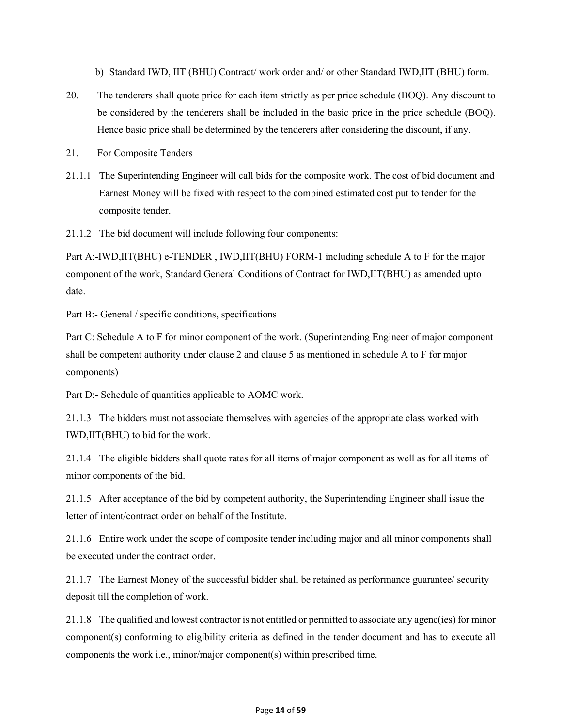b) Standard IWD, IIT (BHU) Contract/ work order and/ or other Standard IWD,IIT (BHU) form.

- 20. The tenderers shall quote price for each item strictly as per price schedule (BOQ). Any discount to be considered by the tenderers shall be included in the basic price in the price schedule (BOQ). Hence basic price shall be determined by the tenderers after considering the discount, if any.
- 21. For Composite Tenders
- 21.1.1 The Superintending Engineer will call bids for the composite work. The cost of bid document and Earnest Money will be fixed with respect to the combined estimated cost put to tender for the composite tender.
- 21.1.2 The bid document will include following four components:

Part A:-IWD,IIT(BHU) e-TENDER , IWD,IIT(BHU) FORM-1 including schedule A to F for the major component of the work, Standard General Conditions of Contract for IWD,IIT(BHU) as amended upto date.

Part B:- General / specific conditions, specifications

Part C: Schedule A to F for minor component of the work. (Superintending Engineer of major component shall be competent authority under clause 2 and clause 5 as mentioned in schedule A to F for major components)

Part D:- Schedule of quantities applicable to AOMC work.

21.1.3 The bidders must not associate themselves with agencies of the appropriate class worked with IWD,IIT(BHU) to bid for the work.

21.1.4 The eligible bidders shall quote rates for all items of major component as well as for all items of minor components of the bid.

21.1.5 After acceptance of the bid by competent authority, the Superintending Engineer shall issue the letter of intent/contract order on behalf of the Institute.

21.1.6 Entire work under the scope of composite tender including major and all minor components shall be executed under the contract order.

21.1.7 The Earnest Money of the successful bidder shall be retained as performance guarantee/ security deposit till the completion of work.

21.1.8 The qualified and lowest contractor is not entitled or permitted to associate any agenc(ies) for minor component(s) conforming to eligibility criteria as defined in the tender document and has to execute all components the work i.e., minor/major component(s) within prescribed time.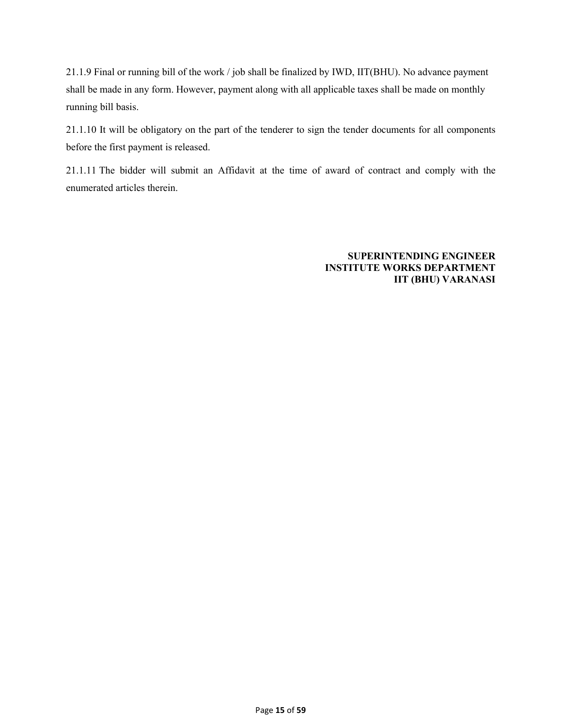21.1.9 Final or running bill of the work / job shall be finalized by IWD, IIT(BHU). No advance payment shall be made in any form. However, payment along with all applicable taxes shall be made on monthly running bill basis.

21.1.10 It will be obligatory on the part of the tenderer to sign the tender documents for all components before the first payment is released.

21.1.11 The bidder will submit an Affidavit at the time of award of contract and comply with the enumerated articles therein.

> **SUPERINTENDING ENGINEER INSTITUTE WORKS DEPARTMENT IIT (BHU) VARANASI**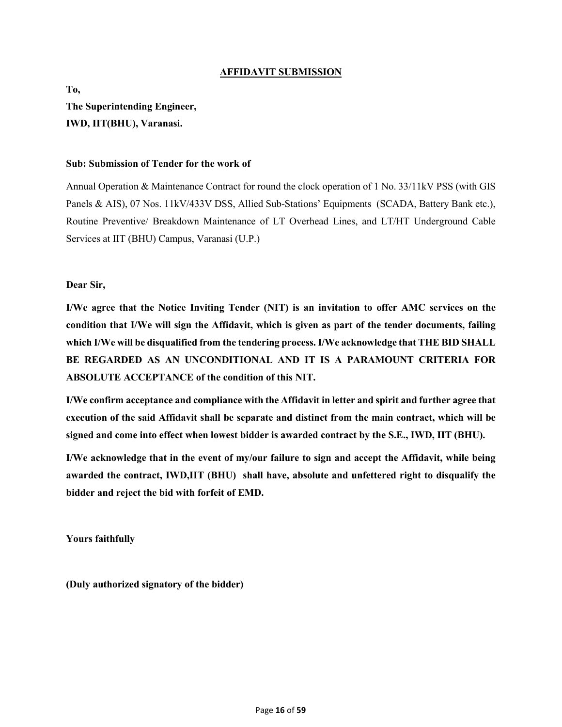# **AFFIDAVIT SUBMISSION**

**To, The Superintending Engineer, IWD, IIT(BHU), Varanasi.**

## **Sub: Submission of Tender for the work of**

Annual Operation & Maintenance Contract for round the clock operation of 1 No. 33/11kV PSS (with GIS Panels & AIS), 07 Nos. 11kV/433V DSS, Allied Sub-Stations' Equipments (SCADA, Battery Bank etc.), Routine Preventive/ Breakdown Maintenance of LT Overhead Lines, and LT/HT Underground Cable Services at IIT (BHU) Campus, Varanasi (U.P.)

**Dear Sir,**

**I/We agree that the Notice Inviting Tender (NIT) is an invitation to offer AMC services on the condition that I/We will sign the Affidavit, which is given as part of the tender documents, failing which I/We will be disqualified from the tendering process. I/We acknowledge that THE BID SHALL BE REGARDED AS AN UNCONDITIONAL AND IT IS A PARAMOUNT CRITERIA FOR ABSOLUTE ACCEPTANCE of the condition of this NIT.**

**I/We confirm acceptance and compliance with the Affidavit in letter and spirit and further agree that execution of the said Affidavit shall be separate and distinct from the main contract, which will be signed and come into effect when lowest bidder is awarded contract by the S.E., IWD, IIT (BHU).** 

**I/We acknowledge that in the event of my/our failure to sign and accept the Affidavit, while being awarded the contract, IWD,IIT (BHU) shall have, absolute and unfettered right to disqualify the bidder and reject the bid with forfeit of EMD.**

**Yours faithfully**

**(Duly authorized signatory of the bidder)**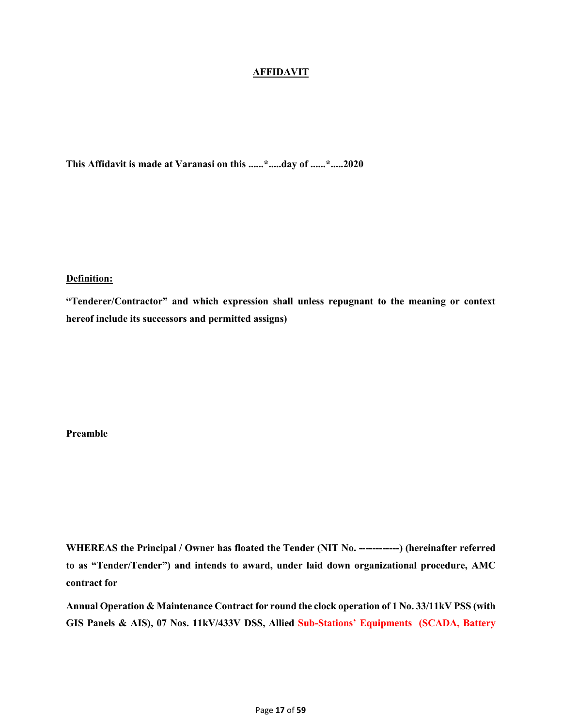# **AFFIDAVIT**

**This Affidavit is made at Varanasi on this ......\*.....day of ......\*.....2020**

# **Definition:**

**"Tenderer/Contractor" and which expression shall unless repugnant to the meaning or context hereof include its successors and permitted assigns)**

# **Preamble**

**WHEREAS the Principal / Owner has floated the Tender (NIT No. ------------) (hereinafter referred to as "Tender/Tender") and intends to award, under laid down organizational procedure, AMC contract for**

**Annual Operation & Maintenance Contract for round the clock operation of 1 No. 33/11kV PSS (with GIS Panels & AIS), 07 Nos. 11kV/433V DSS, Allied Sub-Stations' Equipments (SCADA, Battery**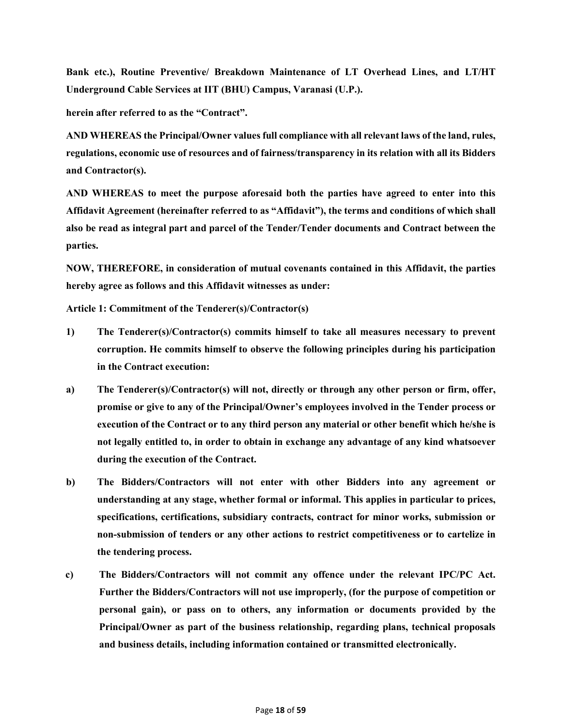**Bank etc.), Routine Preventive/ Breakdown Maintenance of LT Overhead Lines, and LT/HT Underground Cable Services at IIT (BHU) Campus, Varanasi (U.P.).**

**herein after referred to as the "Contract".**

**AND WHEREAS the Principal/Owner values full compliance with all relevant laws of the land, rules, regulations, economic use of resources and of fairness/transparency in its relation with all its Bidders and Contractor(s).**

**AND WHEREAS to meet the purpose aforesaid both the parties have agreed to enter into this Affidavit Agreement (hereinafter referred to as "Affidavit"), the terms and conditions of which shall also be read as integral part and parcel of the Tender/Tender documents and Contract between the parties.**

**NOW, THEREFORE, in consideration of mutual covenants contained in this Affidavit, the parties hereby agree as follows and this Affidavit witnesses as under:**

**Article 1: Commitment of the Tenderer(s)/Contractor(s)**

- **1) The Tenderer(s)/Contractor(s) commits himself to take all measures necessary to prevent corruption. He commits himself to observe the following principles during his participation in the Contract execution:**
- **a) The Tenderer(s)/Contractor(s) will not, directly or through any other person or firm, offer, promise or give to any of the Principal/Owner's employees involved in the Tender process or execution of the Contract or to any third person any material or other benefit which he/she is not legally entitled to, in order to obtain in exchange any advantage of any kind whatsoever during the execution of the Contract.**
- **b) The Bidders/Contractors will not enter with other Bidders into any agreement or understanding at any stage, whether formal or informal. This applies in particular to prices, specifications, certifications, subsidiary contracts, contract for minor works, submission or non-submission of tenders or any other actions to restrict competitiveness or to cartelize in the tendering process.**
- **c) The Bidders/Contractors will not commit any offence under the relevant IPC/PC Act. Further the Bidders/Contractors will not use improperly, (for the purpose of competition or personal gain), or pass on to others, any information or documents provided by the Principal/Owner as part of the business relationship, regarding plans, technical proposals and business details, including information contained or transmitted electronically.**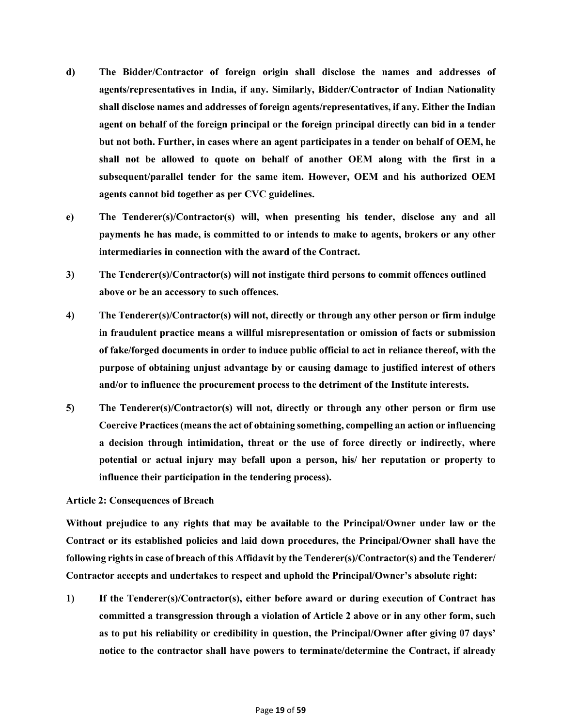- **d) The Bidder/Contractor of foreign origin shall disclose the names and addresses of agents/representatives in India, if any. Similarly, Bidder/Contractor of Indian Nationality shall disclose names and addresses of foreign agents/representatives, if any. Either the Indian agent on behalf of the foreign principal or the foreign principal directly can bid in a tender but not both. Further, in cases where an agent participates in a tender on behalf of OEM, he shall not be allowed to quote on behalf of another OEM along with the first in a subsequent/parallel tender for the same item. However, OEM and his authorized OEM agents cannot bid together as per CVC guidelines.**
- **e) The Tenderer(s)/Contractor(s) will, when presenting his tender, disclose any and all payments he has made, is committed to or intends to make to agents, brokers or any other intermediaries in connection with the award of the Contract.**
- **3) The Tenderer(s)/Contractor(s) will not instigate third persons to commit offences outlined above or be an accessory to such offences.**
- **4) The Tenderer(s)/Contractor(s) will not, directly or through any other person or firm indulge in fraudulent practice means a willful misrepresentation or omission of facts or submission of fake/forged documents in order to induce public official to act in reliance thereof, with the purpose of obtaining unjust advantage by or causing damage to justified interest of others and/or to influence the procurement process to the detriment of the Institute interests.**
- **5) The Tenderer(s)/Contractor(s) will not, directly or through any other person or firm use Coercive Practices (means the act of obtaining something, compelling an action or influencing a decision through intimidation, threat or the use of force directly or indirectly, where potential or actual injury may befall upon a person, his/ her reputation or property to influence their participation in the tendering process).**

## **Article 2: Consequences of Breach**

**Without prejudice to any rights that may be available to the Principal/Owner under law or the Contract or its established policies and laid down procedures, the Principal/Owner shall have the following rights in case of breach of this Affidavit by the Tenderer(s)/Contractor(s) and the Tenderer/ Contractor accepts and undertakes to respect and uphold the Principal/Owner's absolute right:**

**1) If the Tenderer(s)/Contractor(s), either before award or during execution of Contract has committed a transgression through a violation of Article 2 above or in any other form, such as to put his reliability or credibility in question, the Principal/Owner after giving 07 days' notice to the contractor shall have powers to terminate/determine the Contract, if already**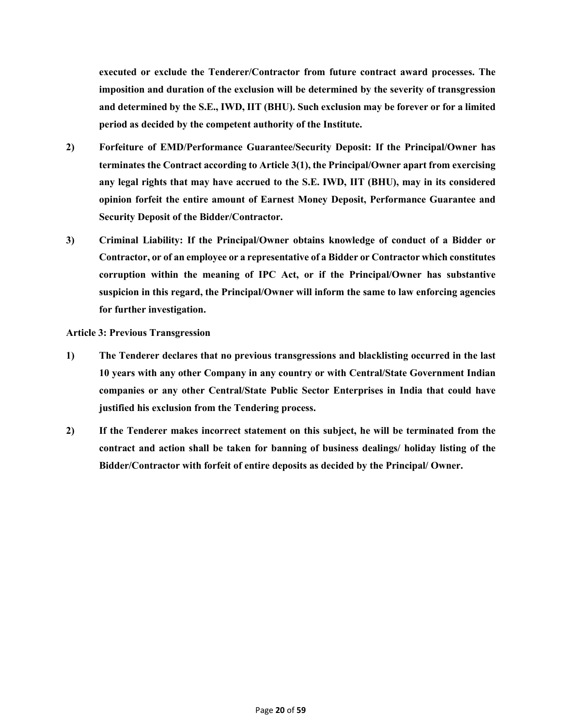**executed or exclude the Tenderer/Contractor from future contract award processes. The imposition and duration of the exclusion will be determined by the severity of transgression and determined by the S.E., IWD, IIT (BHU). Such exclusion may be forever or for a limited period as decided by the competent authority of the Institute.**

- **2) Forfeiture of EMD/Performance Guarantee/Security Deposit: If the Principal/Owner has terminates the Contract according to Article 3(1), the Principal/Owner apart from exercising any legal rights that may have accrued to the S.E. IWD, IIT (BHU), may in its considered opinion forfeit the entire amount of Earnest Money Deposit, Performance Guarantee and Security Deposit of the Bidder/Contractor.**
- **3) Criminal Liability: If the Principal/Owner obtains knowledge of conduct of a Bidder or Contractor, or of an employee or a representative of a Bidder or Contractor which constitutes corruption within the meaning of IPC Act, or if the Principal/Owner has substantive suspicion in this regard, the Principal/Owner will inform the same to law enforcing agencies for further investigation.**

## **Article 3: Previous Transgression**

- **1) The Tenderer declares that no previous transgressions and blacklisting occurred in the last 10 years with any other Company in any country or with Central/State Government Indian companies or any other Central/State Public Sector Enterprises in India that could have justified his exclusion from the Tendering process.**
- **2) If the Tenderer makes incorrect statement on this subject, he will be terminated from the contract and action shall be taken for banning of business dealings/ holiday listing of the Bidder/Contractor with forfeit of entire deposits as decided by the Principal/ Owner.**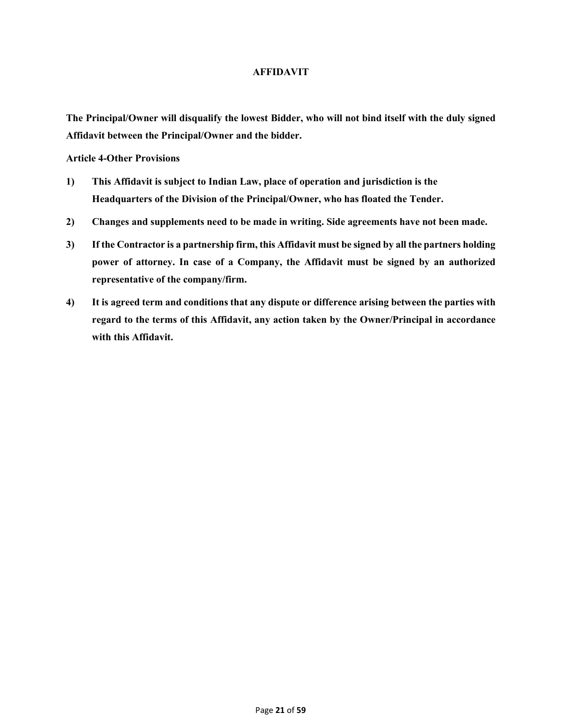## **AFFIDAVIT**

**The Principal/Owner will disqualify the lowest Bidder, who will not bind itself with the duly signed Affidavit between the Principal/Owner and the bidder.**

**Article 4-Other Provisions**

- **1) This Affidavit is subject to Indian Law, place of operation and jurisdiction is the Headquarters of the Division of the Principal/Owner, who has floated the Tender.**
- **2) Changes and supplements need to be made in writing. Side agreements have not been made.**
- **3) If the Contractor is a partnership firm, this Affidavit must be signed by all the partners holding power of attorney. In case of a Company, the Affidavit must be signed by an authorized representative of the company/firm.**
- **4) It is agreed term and conditions that any dispute or difference arising between the parties with regard to the terms of this Affidavit, any action taken by the Owner/Principal in accordance with this Affidavit.**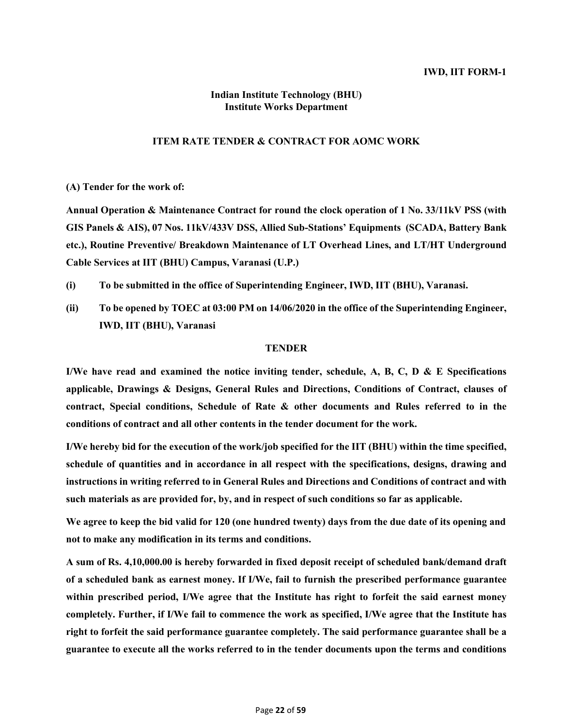# **Indian Institute Technology (BHU) Institute Works Department**

# **ITEM RATE TENDER & CONTRACT FOR AOMC WORK**

**(A) Tender for the work of:**

**Annual Operation & Maintenance Contract for round the clock operation of 1 No. 33/11kV PSS (with GIS Panels & AIS), 07 Nos. 11kV/433V DSS, Allied Sub-Stations' Equipments (SCADA, Battery Bank etc.), Routine Preventive/ Breakdown Maintenance of LT Overhead Lines, and LT/HT Underground Cable Services at IIT (BHU) Campus, Varanasi (U.P.)**

- **(i) To be submitted in the office of Superintending Engineer, IWD, IIT (BHU), Varanasi.**
- **(ii) To be opened by TOEC at 03:00 PM on 14/06/2020 in the office of the Superintending Engineer, IWD, IIT (BHU), Varanasi**

## **TENDER**

**I/We have read and examined the notice inviting tender, schedule, A, B, C, D & E Specifications applicable, Drawings & Designs, General Rules and Directions, Conditions of Contract, clauses of contract, Special conditions, Schedule of Rate & other documents and Rules referred to in the conditions of contract and all other contents in the tender document for the work.**

**I/We hereby bid for the execution of the work/job specified for the IIT (BHU) within the time specified, schedule of quantities and in accordance in all respect with the specifications, designs, drawing and instructions in writing referred to in General Rules and Directions and Conditions of contract and with such materials as are provided for, by, and in respect of such conditions so far as applicable.**

**We agree to keep the bid valid for 120 (one hundred twenty) days from the due date of its opening and not to make any modification in its terms and conditions.**

**A sum of Rs. 4,10,000.00 is hereby forwarded in fixed deposit receipt of scheduled bank/demand draft of a scheduled bank as earnest money. If I/We, fail to furnish the prescribed performance guarantee within prescribed period, I/We agree that the Institute has right to forfeit the said earnest money completely. Further, if I/We fail to commence the work as specified, I/We agree that the Institute has right to forfeit the said performance guarantee completely. The said performance guarantee shall be a guarantee to execute all the works referred to in the tender documents upon the terms and conditions**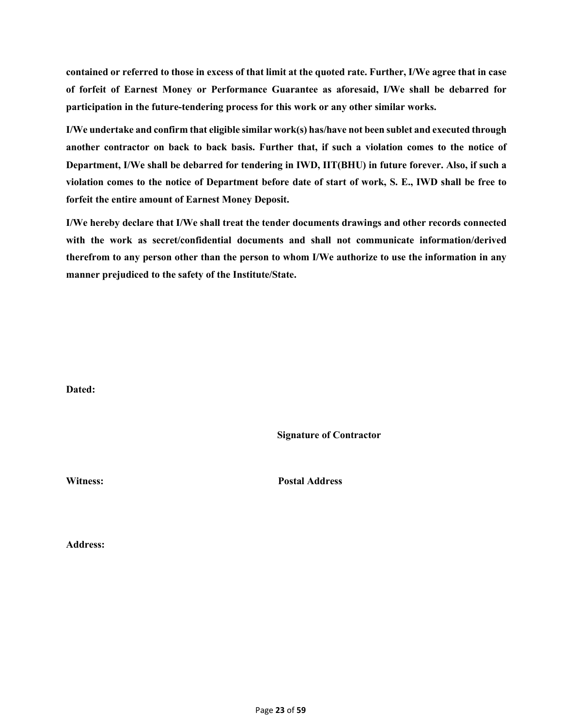**contained or referred to those in excess of that limit at the quoted rate. Further, I/We agree that in case of forfeit of Earnest Money or Performance Guarantee as aforesaid, I/We shall be debarred for participation in the future-tendering process for this work or any other similar works.**

**I/We undertake and confirm that eligible similar work(s) has/have not been sublet and executed through another contractor on back to back basis. Further that, if such a violation comes to the notice of Department, I/We shall be debarred for tendering in IWD, IIT(BHU) in future forever. Also, if such a violation comes to the notice of Department before date of start of work, S. E., IWD shall be free to forfeit the entire amount of Earnest Money Deposit.**

**I/We hereby declare that I/We shall treat the tender documents drawings and other records connected with the work as secret/confidential documents and shall not communicate information/derived therefrom to any person other than the person to whom I/We authorize to use the information in any manner prejudiced to the safety of the Institute/State.**

**Dated:**

**Signature of Contractor**

**Witness: Postal Address**

**Address:**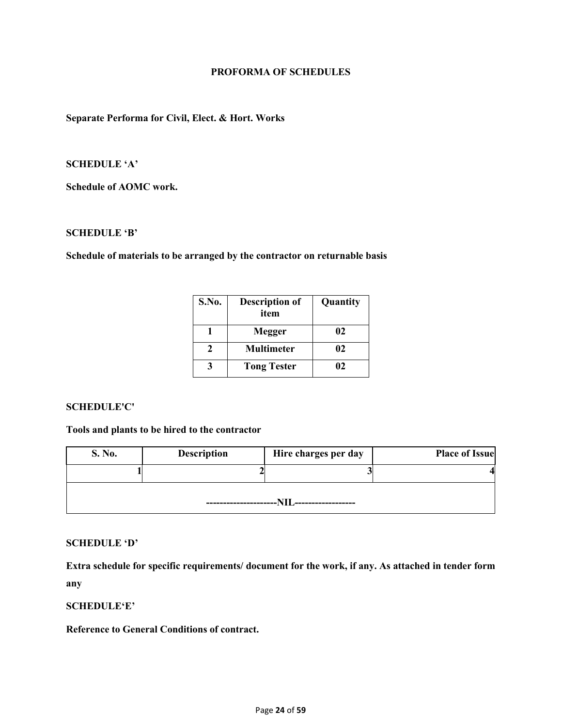## **PROFORMA OF SCHEDULES**

# **Separate Performa for Civil, Elect. & Hort. Works**

# **SCHEDULE 'A'**

**Schedule of AOMC work.**

# **SCHEDULE 'B'**

**Schedule of materials to be arranged by the contractor on returnable basis**

| S.No. | <b>Description of</b><br>item | Quantity |
|-------|-------------------------------|----------|
|       | Megger                        | 02       |
|       | <b>Multimeter</b>             | 02       |
|       | <b>Tong Tester</b>            | NZ       |

## **SCHEDULE'C'**

**Tools and plants to be hired to the contractor**

| S. No. | <b>Description</b> | Hire charges per day | <b>Place of Issue</b> |
|--------|--------------------|----------------------|-----------------------|
|        |                    |                      |                       |
|        |                    |                      |                       |

# **SCHEDULE 'D'**

**Extra schedule for specific requirements/ document for the work, if any. As attached in tender form any**

## **SCHEDULE'E'**

**Reference to General Conditions of contract.**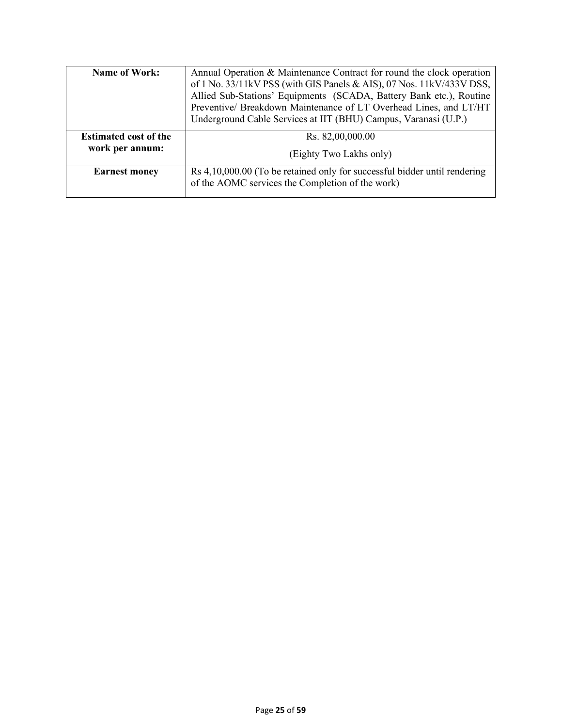| <b>Name of Work:</b>                            | Annual Operation & Maintenance Contract for round the clock operation<br>of 1 No. 33/11kV PSS (with GIS Panels & AIS), 07 Nos. 11kV/433V DSS,<br>Allied Sub-Stations' Equipments (SCADA, Battery Bank etc.), Routine<br>Preventive/ Breakdown Maintenance of LT Overhead Lines, and LT/HT<br>Underground Cable Services at IIT (BHU) Campus, Varanasi (U.P.) |
|-------------------------------------------------|--------------------------------------------------------------------------------------------------------------------------------------------------------------------------------------------------------------------------------------------------------------------------------------------------------------------------------------------------------------|
| <b>Estimated cost of the</b><br>work per annum: | Rs. 82,00,000.00<br>(Eighty Two Lakhs only)                                                                                                                                                                                                                                                                                                                  |
| <b>Earnest money</b>                            | Rs 4,10,000.00 (To be retained only for successful bidder until rendering<br>of the AOMC services the Completion of the work)                                                                                                                                                                                                                                |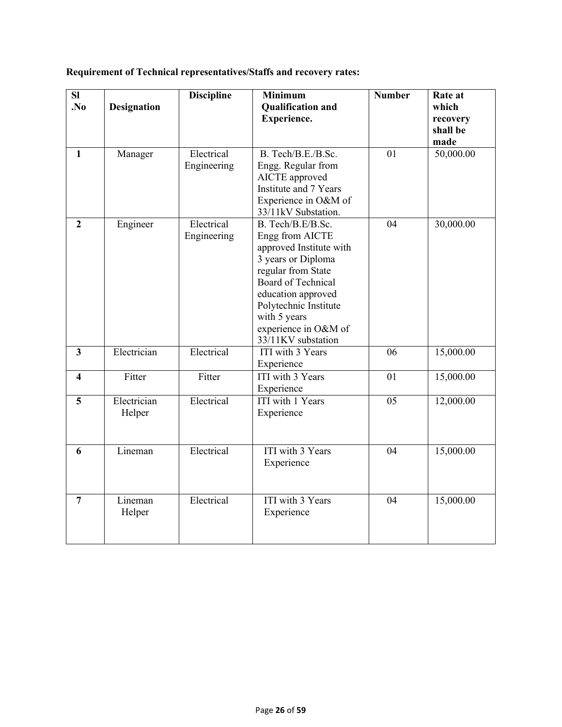|  | Requirement of Technical representatives/Staffs and recovery rates: |
|--|---------------------------------------------------------------------|
|--|---------------------------------------------------------------------|

| SI                      |                       | <b>Discipline</b>         | <b>Minimum</b>                                                                                                                                                                                                                                        | <b>Number</b> | Rate at                               |
|-------------------------|-----------------------|---------------------------|-------------------------------------------------------------------------------------------------------------------------------------------------------------------------------------------------------------------------------------------------------|---------------|---------------------------------------|
| .No                     | <b>Designation</b>    |                           | <b>Qualification and</b><br><b>Experience.</b>                                                                                                                                                                                                        |               | which<br>recovery<br>shall be<br>made |
| $\mathbf{1}$            | Manager               | Electrical<br>Engineering | B. Tech/B.E./B.Sc.<br>Engg. Regular from<br>AICTE approved<br>Institute and 7 Years<br>Experience in O&M of<br>33/11kV Substation.                                                                                                                    | 01            | 50,000.00                             |
| $\overline{2}$          | Engineer              | Electrical<br>Engineering | B. Tech/B.E/B.Sc.<br>Engg from AICTE<br>approved Institute with<br>3 years or Diploma<br>regular from State<br><b>Board of Technical</b><br>education approved<br>Polytechnic Institute<br>with 5 years<br>experience in O&M of<br>33/11KV substation | 04            | 30,000.00                             |
| $\overline{\mathbf{3}}$ | Electrician           | Electrical                | ITI with 3 Years<br>Experience                                                                                                                                                                                                                        | 06            | 15,000.00                             |
| 4                       | Fitter                | Fitter                    | ITI with 3 Years<br>Experience                                                                                                                                                                                                                        | 01            | 15,000.00                             |
| 5                       | Electrician<br>Helper | Electrical                | ITI with 1 Years<br>Experience                                                                                                                                                                                                                        | 05            | 12,000.00                             |
| 6                       | Lineman               | Electrical                | ITI with 3 Years<br>Experience                                                                                                                                                                                                                        | 04            | 15,000.00                             |
| $\overline{7}$          | Lineman<br>Helper     | Electrical                | <b>ITI</b> with 3 Years<br>Experience                                                                                                                                                                                                                 | 04            | 15,000.00                             |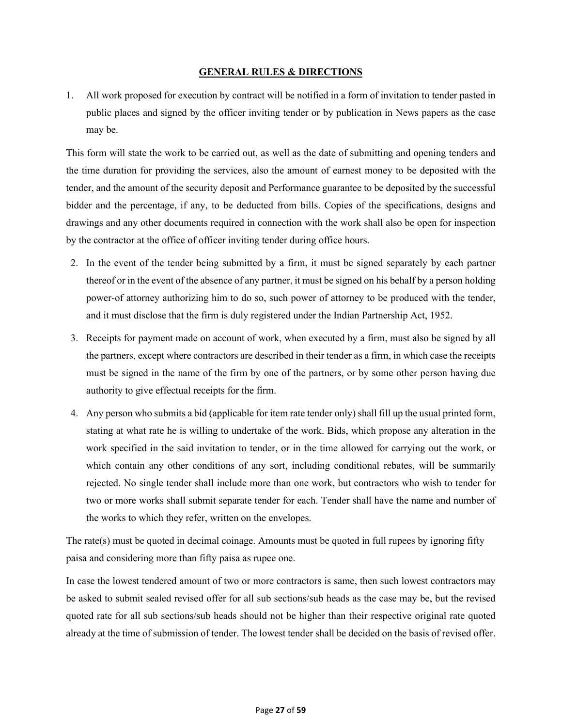## **GENERAL RULES & DIRECTIONS**

1. All work proposed for execution by contract will be notified in a form of invitation to tender pasted in public places and signed by the officer inviting tender or by publication in News papers as the case may be.

This form will state the work to be carried out, as well as the date of submitting and opening tenders and the time duration for providing the services, also the amount of earnest money to be deposited with the tender, and the amount of the security deposit and Performance guarantee to be deposited by the successful bidder and the percentage, if any, to be deducted from bills. Copies of the specifications, designs and drawings and any other documents required in connection with the work shall also be open for inspection by the contractor at the office of officer inviting tender during office hours.

- 2. In the event of the tender being submitted by a firm, it must be signed separately by each partner thereof or in the event of the absence of any partner, it must be signed on his behalf by a person holding power-of attorney authorizing him to do so, such power of attorney to be produced with the tender, and it must disclose that the firm is duly registered under the Indian Partnership Act, 1952.
- 3. Receipts for payment made on account of work, when executed by a firm, must also be signed by all the partners, except where contractors are described in their tender as a firm, in which case the receipts must be signed in the name of the firm by one of the partners, or by some other person having due authority to give effectual receipts for the firm.
- 4. Any person who submits a bid (applicable for item rate tender only) shall fill up the usual printed form, stating at what rate he is willing to undertake of the work. Bids, which propose any alteration in the work specified in the said invitation to tender, or in the time allowed for carrying out the work, or which contain any other conditions of any sort, including conditional rebates, will be summarily rejected. No single tender shall include more than one work, but contractors who wish to tender for two or more works shall submit separate tender for each. Tender shall have the name and number of the works to which they refer, written on the envelopes.

The rate(s) must be quoted in decimal coinage. Amounts must be quoted in full rupees by ignoring fifty paisa and considering more than fifty paisa as rupee one.

In case the lowest tendered amount of two or more contractors is same, then such lowest contractors may be asked to submit sealed revised offer for all sub sections/sub heads as the case may be, but the revised quoted rate for all sub sections/sub heads should not be higher than their respective original rate quoted already at the time of submission of tender. The lowest tender shall be decided on the basis of revised offer.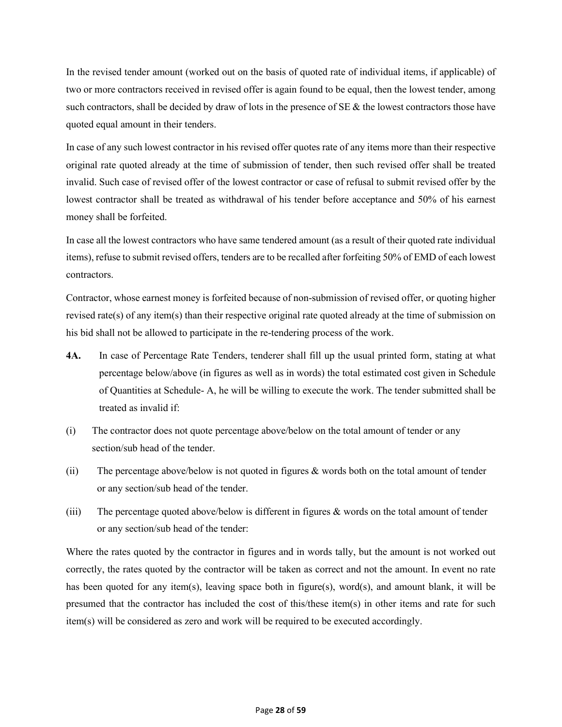In the revised tender amount (worked out on the basis of quoted rate of individual items, if applicable) of two or more contractors received in revised offer is again found to be equal, then the lowest tender, among such contractors, shall be decided by draw of lots in the presence of SE & the lowest contractors those have quoted equal amount in their tenders.

In case of any such lowest contractor in his revised offer quotes rate of any items more than their respective original rate quoted already at the time of submission of tender, then such revised offer shall be treated invalid. Such case of revised offer of the lowest contractor or case of refusal to submit revised offer by the lowest contractor shall be treated as withdrawal of his tender before acceptance and 50% of his earnest money shall be forfeited.

In case all the lowest contractors who have same tendered amount (as a result of their quoted rate individual items), refuse to submit revised offers, tenders are to be recalled after forfeiting 50% of EMD of each lowest contractors.

Contractor, whose earnest money is forfeited because of non-submission of revised offer, or quoting higher revised rate(s) of any item(s) than their respective original rate quoted already at the time of submission on his bid shall not be allowed to participate in the re-tendering process of the work.

- **4A.** In case of Percentage Rate Tenders, tenderer shall fill up the usual printed form, stating at what percentage below/above (in figures as well as in words) the total estimated cost given in Schedule of Quantities at Schedule- A, he will be willing to execute the work. The tender submitted shall be treated as invalid if:
- (i) The contractor does not quote percentage above/below on the total amount of tender or any section/sub head of the tender.
- (ii) The percentage above/below is not quoted in figures & words both on the total amount of tender or any section/sub head of the tender.
- (iii) The percentage quoted above/below is different in figures & words on the total amount of tender or any section/sub head of the tender:

Where the rates quoted by the contractor in figures and in words tally, but the amount is not worked out correctly, the rates quoted by the contractor will be taken as correct and not the amount. In event no rate has been quoted for any item(s), leaving space both in figure(s), word(s), and amount blank, it will be presumed that the contractor has included the cost of this/these item(s) in other items and rate for such item(s) will be considered as zero and work will be required to be executed accordingly.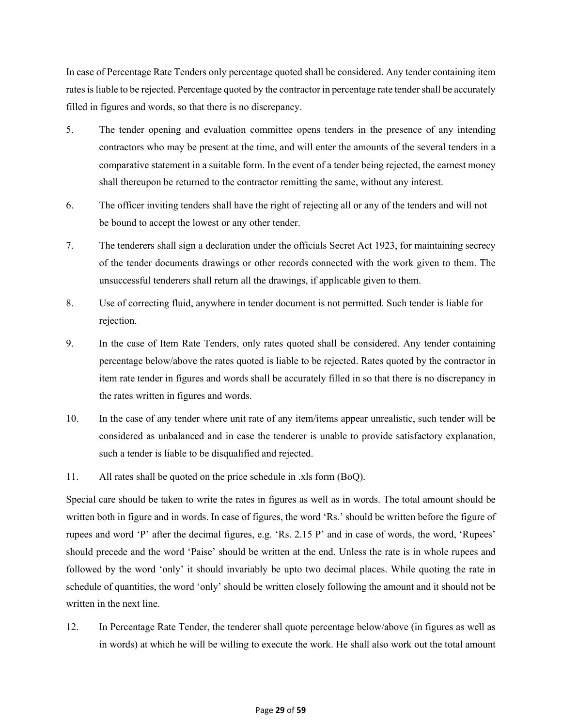In case of Percentage Rate Tenders only percentage quoted shall be considered. Any tender containing item rates is liable to be rejected. Percentage quoted by the contractor in percentage rate tender shall be accurately filled in figures and words, so that there is no discrepancy.

- 5. The tender opening and evaluation committee opens tenders in the presence of any intending contractors who may be present at the time, and will enter the amounts of the several tenders in a comparative statement in a suitable form. In the event of a tender being rejected, the earnest money shall thereupon be returned to the contractor remitting the same, without any interest.
- 6. The officer inviting tenders shall have the right of rejecting all or any of the tenders and will not be bound to accept the lowest or any other tender.
- 7. The tenderers shall sign a declaration under the officials Secret Act 1923, for maintaining secrecy of the tender documents drawings or other records connected with the work given to them. The unsuccessful tenderers shall return all the drawings, if applicable given to them.
- 8. Use of correcting fluid, anywhere in tender document is not permitted. Such tender is liable for rejection.
- 9. In the case of Item Rate Tenders, only rates quoted shall be considered. Any tender containing percentage below/above the rates quoted is liable to be rejected. Rates quoted by the contractor in item rate tender in figures and words shall be accurately filled in so that there is no discrepancy in the rates written in figures and words.
- 10. In the case of any tender where unit rate of any item/items appear unrealistic, such tender will be considered as unbalanced and in case the tenderer is unable to provide satisfactory explanation, such a tender is liable to be disqualified and rejected.
- 11. All rates shall be quoted on the price schedule in .xls form (BoQ).

Special care should be taken to write the rates in figures as well as in words. The total amount should be written both in figure and in words. In case of figures, the word 'Rs.' should be written before the figure of rupees and word 'P' after the decimal figures, e.g. 'Rs. 2.15 P' and in case of words, the word, 'Rupees' should precede and the word 'Paise' should be written at the end. Unless the rate is in whole rupees and followed by the word 'only' it should invariably be upto two decimal places. While quoting the rate in schedule of quantities, the word 'only' should be written closely following the amount and it should not be written in the next line.

12. In Percentage Rate Tender, the tenderer shall quote percentage below/above (in figures as well as in words) at which he will be willing to execute the work. He shall also work out the total amount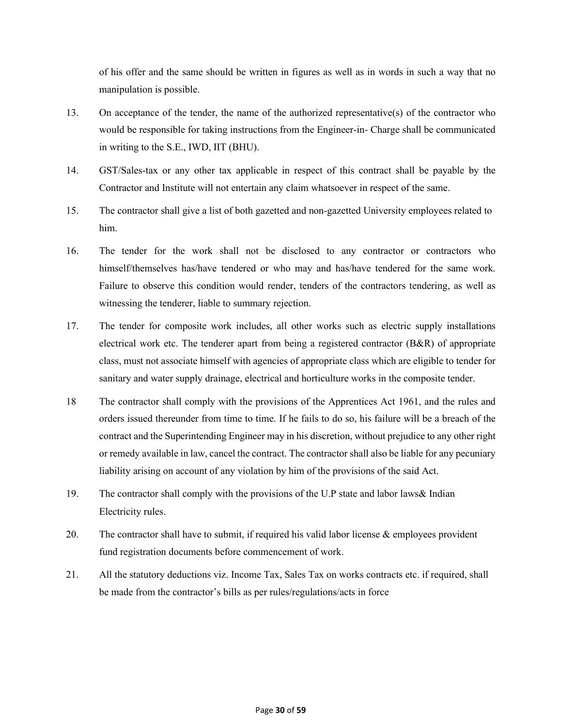of his offer and the same should be written in figures as well as in words in such a way that no manipulation is possible.

- 13. On acceptance of the tender, the name of the authorized representative(s) of the contractor who would be responsible for taking instructions from the Engineer-in- Charge shall be communicated in writing to the S.E., IWD, IIT (BHU).
- 14. GST/Sales-tax or any other tax applicable in respect of this contract shall be payable by the Contractor and Institute will not entertain any claim whatsoever in respect of the same.
- 15. The contractor shall give a list of both gazetted and non-gazetted University employees related to him.
- 16. The tender for the work shall not be disclosed to any contractor or contractors who himself/themselves has/have tendered or who may and has/have tendered for the same work. Failure to observe this condition would render, tenders of the contractors tendering, as well as witnessing the tenderer, liable to summary rejection.
- 17. The tender for composite work includes, all other works such as electric supply installations electrical work etc. The tenderer apart from being a registered contractor (B&R) of appropriate class, must not associate himself with agencies of appropriate class which are eligible to tender for sanitary and water supply drainage, electrical and horticulture works in the composite tender.
- 18 The contractor shall comply with the provisions of the Apprentices Act 1961, and the rules and orders issued thereunder from time to time. If he fails to do so, his failure will be a breach of the contract and the Superintending Engineer may in his discretion, without prejudice to any other right or remedy available in law, cancel the contract. The contractor shall also be liable for any pecuniary liability arising on account of any violation by him of the provisions of the said Act.
- 19. The contractor shall comply with the provisions of the U.P state and labor laws& Indian Electricity rules.
- 20. The contractor shall have to submit, if required his valid labor license & employees provident fund registration documents before commencement of work.
- 21. All the statutory deductions viz. Income Tax, Sales Tax on works contracts etc. if required, shall be made from the contractor's bills as per rules/regulations/acts in force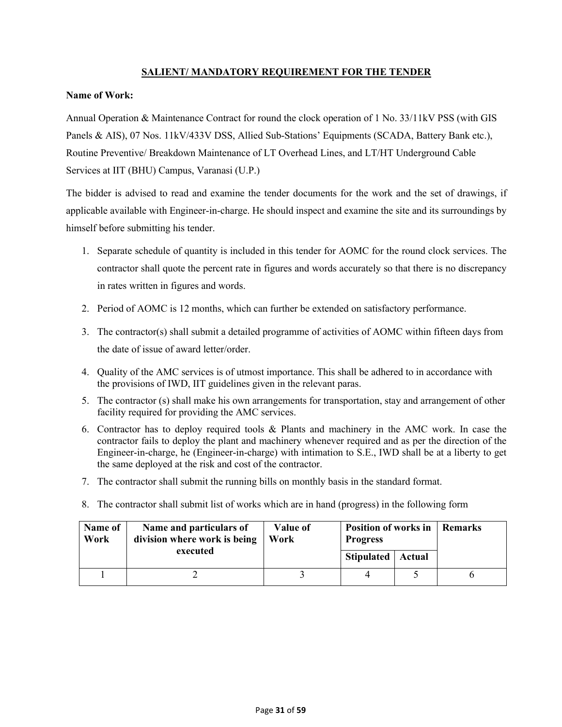# **SALIENT/ MANDATORY REQUIREMENT FOR THE TENDER**

## **Name of Work:**

Annual Operation & Maintenance Contract for round the clock operation of 1 No. 33/11kV PSS (with GIS Panels & AIS), 07 Nos. 11kV/433V DSS, Allied Sub-Stations' Equipments (SCADA, Battery Bank etc.), Routine Preventive/ Breakdown Maintenance of LT Overhead Lines, and LT/HT Underground Cable Services at IIT (BHU) Campus, Varanasi (U.P.)

The bidder is advised to read and examine the tender documents for the work and the set of drawings, if applicable available with Engineer-in-charge. He should inspect and examine the site and its surroundings by himself before submitting his tender.

- 1. Separate schedule of quantity is included in this tender for AOMC for the round clock services. The contractor shall quote the percent rate in figures and words accurately so that there is no discrepancy in rates written in figures and words.
- 2. Period of AOMC is 12 months, which can further be extended on satisfactory performance.
- 3. The contractor(s) shall submit a detailed programme of activities of AOMC within fifteen days from the date of issue of award letter/order.
- 4. Quality of the AMC services is of utmost importance. This shall be adhered to in accordance with the provisions of IWD, IIT guidelines given in the relevant paras.
- 5. The contractor (s) shall make his own arrangements for transportation, stay and arrangement of other facility required for providing the AMC services.
- 6. Contractor has to deploy required tools & Plants and machinery in the AMC work. In case the contractor fails to deploy the plant and machinery whenever required and as per the direction of the Engineer-in-charge, he (Engineer-in-charge) with intimation to S.E., IWD shall be at a liberty to get the same deployed at the risk and cost of the contractor.
- 7. The contractor shall submit the running bills on monthly basis in the standard format.
- 8. The contractor shall submit list of works which are in hand (progress) in the following form

| Name of<br>Work | Name and particulars of<br>division where work is being | Value of<br>Work | <b>Position of works in</b><br><b>Progress</b> |  | Remarks |
|-----------------|---------------------------------------------------------|------------------|------------------------------------------------|--|---------|
|                 | executed                                                |                  | Stipulated   Actual                            |  |         |
|                 |                                                         |                  |                                                |  |         |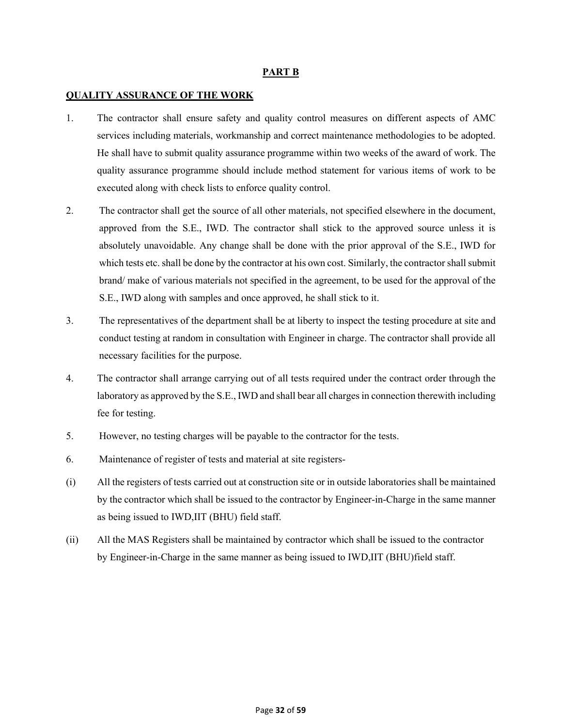## **PART B**

## **QUALITY ASSURANCE OF THE WORK**

- 1. The contractor shall ensure safety and quality control measures on different aspects of AMC services including materials, workmanship and correct maintenance methodologies to be adopted. He shall have to submit quality assurance programme within two weeks of the award of work. The quality assurance programme should include method statement for various items of work to be executed along with check lists to enforce quality control.
- 2. The contractor shall get the source of all other materials, not specified elsewhere in the document, approved from the S.E., IWD. The contractor shall stick to the approved source unless it is absolutely unavoidable. Any change shall be done with the prior approval of the S.E., IWD for which tests etc. shall be done by the contractor at his own cost. Similarly, the contractor shall submit brand/ make of various materials not specified in the agreement, to be used for the approval of the S.E., IWD along with samples and once approved, he shall stick to it.
- 3. The representatives of the department shall be at liberty to inspect the testing procedure at site and conduct testing at random in consultation with Engineer in charge. The contractor shall provide all necessary facilities for the purpose.
- 4. The contractor shall arrange carrying out of all tests required under the contract order through the laboratory as approved by the S.E., IWD and shall bear all charges in connection therewith including fee for testing.
- 5. However, no testing charges will be payable to the contractor for the tests.
- 6. Maintenance of register of tests and material at site registers-
- (i) All the registers of tests carried out at construction site or in outside laboratories shall be maintained by the contractor which shall be issued to the contractor by Engineer-in-Charge in the same manner as being issued to IWD,IIT (BHU) field staff.
- (ii) All the MAS Registers shall be maintained by contractor which shall be issued to the contractor by Engineer-in-Charge in the same manner as being issued to IWD,IIT (BHU)field staff.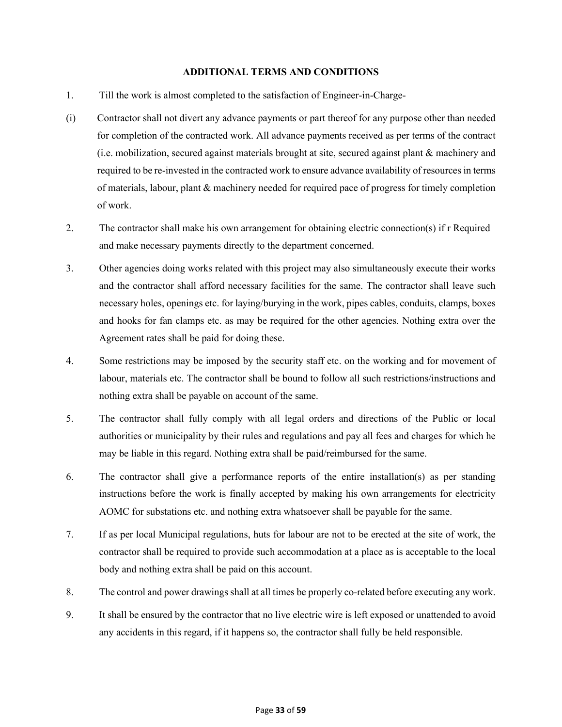## **ADDITIONAL TERMS AND CONDITIONS**

- 1. Till the work is almost completed to the satisfaction of Engineer-in-Charge-
- (i) Contractor shall not divert any advance payments or part thereof for any purpose other than needed for completion of the contracted work. All advance payments received as per terms of the contract (i.e. mobilization, secured against materials brought at site, secured against plant & machinery and required to be re-invested in the contracted work to ensure advance availability of resources in terms of materials, labour, plant & machinery needed for required pace of progress for timely completion of work.
- 2. The contractor shall make his own arrangement for obtaining electric connection(s) if r Required and make necessary payments directly to the department concerned.
- 3. Other agencies doing works related with this project may also simultaneously execute their works and the contractor shall afford necessary facilities for the same. The contractor shall leave such necessary holes, openings etc. for laying/burying in the work, pipes cables, conduits, clamps, boxes and hooks for fan clamps etc. as may be required for the other agencies. Nothing extra over the Agreement rates shall be paid for doing these.
- 4. Some restrictions may be imposed by the security staff etc. on the working and for movement of labour, materials etc. The contractor shall be bound to follow all such restrictions/instructions and nothing extra shall be payable on account of the same.
- 5. The contractor shall fully comply with all legal orders and directions of the Public or local authorities or municipality by their rules and regulations and pay all fees and charges for which he may be liable in this regard. Nothing extra shall be paid/reimbursed for the same.
- 6. The contractor shall give a performance reports of the entire installation(s) as per standing instructions before the work is finally accepted by making his own arrangements for electricity AOMC for substations etc. and nothing extra whatsoever shall be payable for the same.
- 7. If as per local Municipal regulations, huts for labour are not to be erected at the site of work, the contractor shall be required to provide such accommodation at a place as is acceptable to the local body and nothing extra shall be paid on this account.
- 8. The control and power drawings shall at all times be properly co-related before executing any work.
- 9. It shall be ensured by the contractor that no live electric wire is left exposed or unattended to avoid any accidents in this regard, if it happens so, the contractor shall fully be held responsible.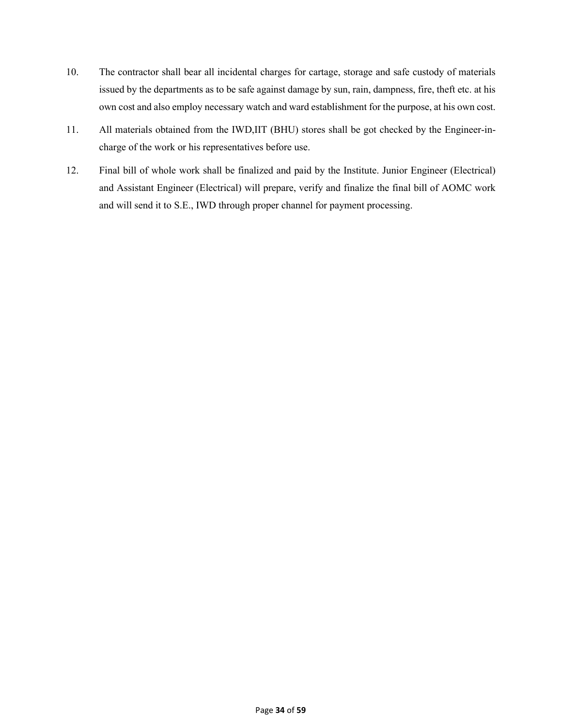- 10. The contractor shall bear all incidental charges for cartage, storage and safe custody of materials issued by the departments as to be safe against damage by sun, rain, dampness, fire, theft etc. at his own cost and also employ necessary watch and ward establishment for the purpose, at his own cost.
- 11. All materials obtained from the IWD,IIT (BHU) stores shall be got checked by the Engineer-incharge of the work or his representatives before use.
- 12. Final bill of whole work shall be finalized and paid by the Institute. Junior Engineer (Electrical) and Assistant Engineer (Electrical) will prepare, verify and finalize the final bill of AOMC work and will send it to S.E., IWD through proper channel for payment processing.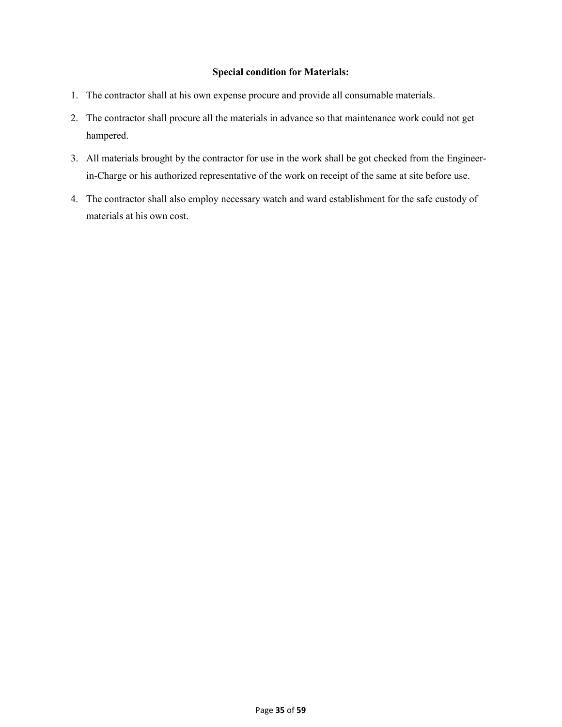## **Special condition for Materials:**

- 1. The contractor shall at his own expense procure and provide all consumable materials.
- 2. The contractor shall procure all the materials in advance so that maintenance work could not get hampered.
- 3. All materials brought by the contractor for use in the work shall be got checked from the Engineerin-Charge or his authorized representative of the work on receipt of the same at site before use.
- 4. The contractor shall also employ necessary watch and ward establishment for the safe custody of materials at his own cost.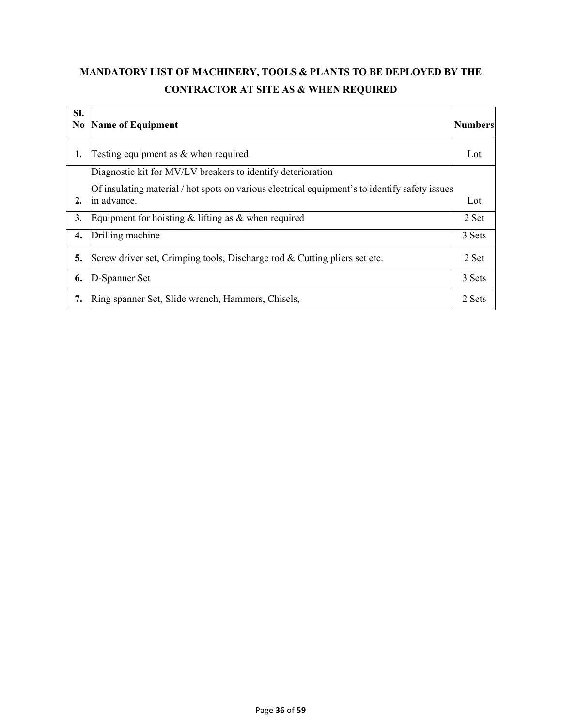# **MANDATORY LIST OF MACHINERY, TOOLS & PLANTS TO BE DEPLOYED BY THE CONTRACTOR AT SITE AS & WHEN REQUIRED**

| SI.<br>N <sub>0</sub> | <b>Name of Equipment</b>                                                                       | <b>Numbers</b> |
|-----------------------|------------------------------------------------------------------------------------------------|----------------|
| 1.                    | Testing equipment as $&$ when required                                                         | Lot            |
|                       | Diagnostic kit for MV/LV breakers to identify deterioration                                    |                |
|                       | Of insulating material / hot spots on various electrical equipment's to identify safety issues |                |
| 2.                    | in advance.                                                                                    | Lot            |
| 3.                    | Equipment for hoisting $&$ lifting as $&$ when required                                        | 2 Set          |
| 4.                    | Drilling machine                                                                               | 3 Sets         |
| 5.                    | Screw driver set, Crimping tools, Discharge rod & Cutting pliers set etc.                      | 2 Set          |
| 6.                    | D-Spanner Set                                                                                  | 3 Sets         |
| 7.                    | Ring spanner Set, Slide wrench, Hammers, Chisels,                                              | 2 Sets         |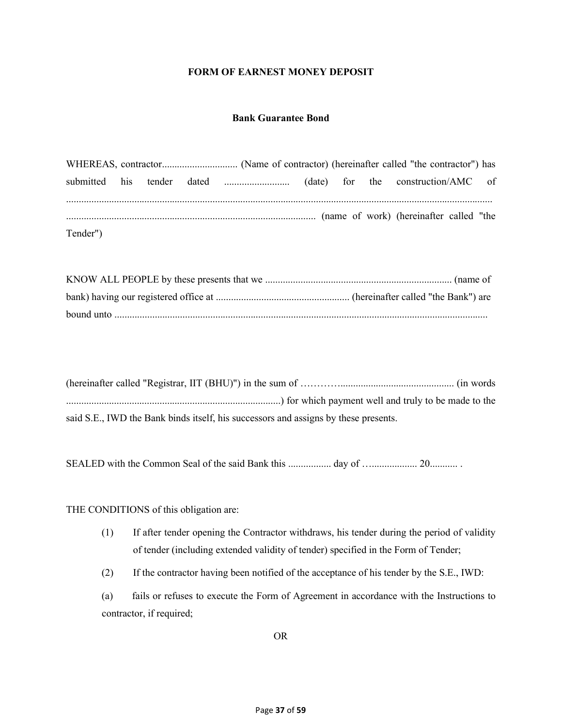## **FORM OF EARNEST MONEY DEPOSIT**

## **Bank Guarantee Bond**

WHEREAS, contractor.............................. (Name of contractor) (hereinafter called "the contractor") has submitted his tender dated .......................... (date) for the construction/AMC of ......................................................................................................................................................................... ................................................................................................... (name of work) (hereinafter called "the Tender")

| said S.E., IWD the Bank binds itself, his successors and assigns by these presents. |
|-------------------------------------------------------------------------------------|

SEALED with the Common Seal of the said Bank this ..................... day of …................... 20..............

THE CONDITIONS of this obligation are:

(1) If after tender opening the Contractor withdraws, his tender during the period of validity of tender (including extended validity of tender) specified in the Form of Tender;

(2) If the contractor having been notified of the acceptance of his tender by the S.E., IWD:

(a) fails or refuses to execute the Form of Agreement in accordance with the Instructions to contractor, if required;

OR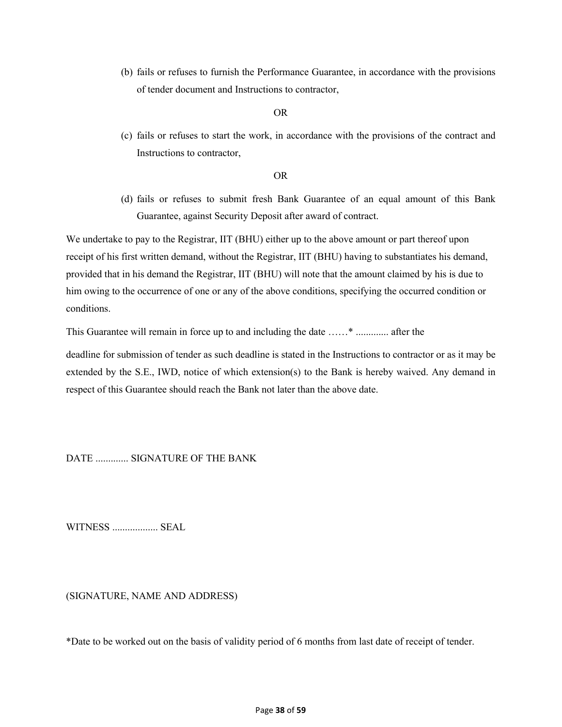(b) fails or refuses to furnish the Performance Guarantee, in accordance with the provisions of tender document and Instructions to contractor,

## OR

(c) fails or refuses to start the work, in accordance with the provisions of the contract and Instructions to contractor,

## OR

(d) fails or refuses to submit fresh Bank Guarantee of an equal amount of this Bank Guarantee, against Security Deposit after award of contract.

We undertake to pay to the Registrar, IIT (BHU) either up to the above amount or part thereof upon receipt of his first written demand, without the Registrar, IIT (BHU) having to substantiates his demand, provided that in his demand the Registrar, IIT (BHU) will note that the amount claimed by his is due to him owing to the occurrence of one or any of the above conditions, specifying the occurred condition or conditions.

This Guarantee will remain in force up to and including the date ……\* ............. after the

deadline for submission of tender as such deadline is stated in the Instructions to contractor or as it may be extended by the S.E., IWD, notice of which extension(s) to the Bank is hereby waived. Any demand in respect of this Guarantee should reach the Bank not later than the above date.

DATE ............. SIGNATURE OF THE BANK

WITNESS .................. SEAL

(SIGNATURE, NAME AND ADDRESS)

\*Date to be worked out on the basis of validity period of 6 months from last date of receipt of tender.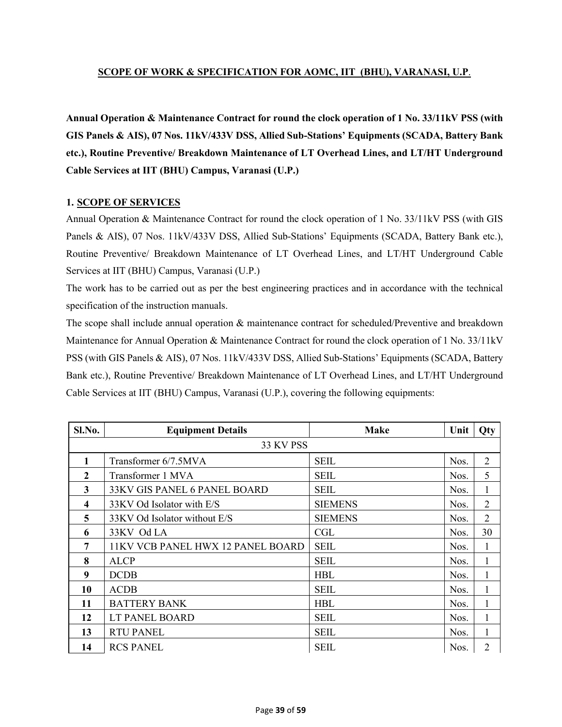# **SCOPE OF WORK & SPECIFICATION FOR AOMC, IIT (BHU), VARANASI, U.P**.

**Annual Operation & Maintenance Contract for round the clock operation of 1 No. 33/11kV PSS (with GIS Panels & AIS), 07 Nos. 11kV/433V DSS, Allied Sub-Stations' Equipments (SCADA, Battery Bank etc.), Routine Preventive/ Breakdown Maintenance of LT Overhead Lines, and LT/HT Underground Cable Services at IIT (BHU) Campus, Varanasi (U.P.)**

# **1. SCOPE OF SERVICES**

Annual Operation & Maintenance Contract for round the clock operation of 1 No. 33/11kV PSS (with GIS Panels & AIS), 07 Nos. 11kV/433V DSS, Allied Sub-Stations' Equipments (SCADA, Battery Bank etc.), Routine Preventive/ Breakdown Maintenance of LT Overhead Lines, and LT/HT Underground Cable Services at IIT (BHU) Campus, Varanasi (U.P.)

The work has to be carried out as per the best engineering practices and in accordance with the technical specification of the instruction manuals.

The scope shall include annual operation & maintenance contract for scheduled/Preventive and breakdown Maintenance for Annual Operation & Maintenance Contract for round the clock operation of 1 No. 33/11kV PSS (with GIS Panels & AIS), 07 Nos. 11kV/433V DSS, Allied Sub-Stations' Equipments (SCADA, Battery Bank etc.), Routine Preventive/ Breakdown Maintenance of LT Overhead Lines, and LT/HT Underground Cable Services at IIT (BHU) Campus, Varanasi (U.P.), covering the following equipments:

| Sl.No.    | <b>Equipment Details</b>          | <b>Make</b>    | Unit | Qty            |  |  |
|-----------|-----------------------------------|----------------|------|----------------|--|--|
| 33 KV PSS |                                   |                |      |                |  |  |
| 1         | Transformer 6/7.5MVA              | <b>SEIL</b>    | Nos. | $\overline{2}$ |  |  |
| 2         | Transformer 1 MVA                 | <b>SEIL</b>    | Nos. | 5              |  |  |
| 3         | 33KV GIS PANEL 6 PANEL BOARD      | <b>SEIL</b>    | Nos. | $\mathbf{1}$   |  |  |
| 4         | 33KV Od Isolator with E/S         | <b>SIEMENS</b> | Nos. | $\overline{2}$ |  |  |
| 5         | 33KV Od Isolator without E/S      | <b>SIEMENS</b> | Nos. | $\overline{2}$ |  |  |
| 6         | 33KV Od LA                        | CGL            | Nos. | 30             |  |  |
| 7         | 11KV VCB PANEL HWX 12 PANEL BOARD | <b>SEIL</b>    | Nos. | $\mathbf{1}$   |  |  |
| 8         | <b>ALCP</b>                       | <b>SEIL</b>    | Nos. | 1              |  |  |
| 9         | <b>DCDB</b>                       | <b>HBL</b>     | Nos. | 1              |  |  |
| 10        | <b>ACDB</b>                       | <b>SEIL</b>    | Nos. | 1              |  |  |
| 11        | <b>BATTERY BANK</b>               | <b>HBL</b>     | Nos. | 1              |  |  |
| 12        | LT PANEL BOARD                    | <b>SEIL</b>    | Nos. | $\mathbf{1}$   |  |  |
| 13        | <b>RTU PANEL</b>                  | <b>SEIL</b>    | Nos. | $\mathbf{1}$   |  |  |
| 14        | <b>RCS PANEL</b>                  | <b>SEIL</b>    | Nos. | $\overline{2}$ |  |  |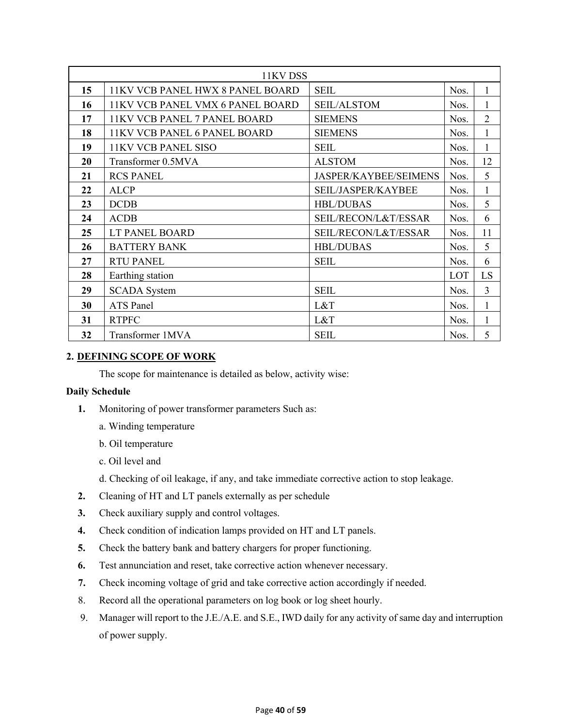| 11KV DSS |                                         |                       |      |                |
|----------|-----------------------------------------|-----------------------|------|----------------|
| 15       | <b>11KV VCB PANEL HWX 8 PANEL BOARD</b> | <b>SEIL</b>           | Nos. | 1              |
| 16       | <b>11KV VCB PANEL VMX 6 PANEL BOARD</b> | <b>SEIL/ALSTOM</b>    | Nos. | 1              |
| 17       | <b>11KV VCB PANEL 7 PANEL BOARD</b>     | <b>SIEMENS</b>        | Nos. | $\overline{2}$ |
| 18       | <b>11KV VCB PANEL 6 PANEL BOARD</b>     | <b>SIEMENS</b>        | Nos. | 1              |
| 19       | <b>11KV VCB PANEL SISO</b>              | <b>SEIL</b>           | Nos. | 1              |
| 20       | Transformer 0.5MVA                      | <b>ALSTOM</b>         | Nos. | 12             |
| 21       | <b>RCS PANEL</b>                        | JASPER/KAYBEE/SEIMENS | Nos. | 5              |
| 22       | <b>ALCP</b>                             | SEIL/JASPER/KAYBEE    | Nos. | $\mathbf{1}$   |
| 23       | <b>DCDB</b>                             | <b>HBL/DUBAS</b>      | Nos. | 5              |
| 24       | <b>ACDB</b>                             | SEIL/RECON/L&T/ESSAR  | Nos. | 6              |
| 25       | LT PANEL BOARD                          | SEIL/RECON/L&T/ESSAR  | Nos. | 11             |
| 26       | <b>BATTERY BANK</b>                     | <b>HBL/DUBAS</b>      | Nos. | 5              |
| 27       | <b>RTU PANEL</b>                        | <b>SEIL</b>           | Nos. | 6              |
| 28       | Earthing station                        |                       | LOT  | LS             |
| 29       | <b>SCADA</b> System                     | <b>SEIL</b>           | Nos. | 3              |
| 30       | <b>ATS</b> Panel                        | L&T                   | Nos. | 1              |
| 31       | <b>RTPFC</b>                            | L&T                   | Nos. | 1              |
| 32       | Transformer 1MVA                        | <b>SEIL</b>           | Nos. | 5              |

# **2. DEFINING SCOPE OF WORK**

The scope for maintenance is detailed as below, activity wise:

# **Daily Schedule**

- **1.** Monitoring of power transformer parameters Such as:
	- a. Winding temperature
	- b. Oil temperature
	- c. Oil level and
	- d. Checking of oil leakage, if any, and take immediate corrective action to stop leakage.
- **2.** Cleaning of HT and LT panels externally as per schedule
- **3.** Check auxiliary supply and control voltages.
- **4.** Check condition of indication lamps provided on HT and LT panels.
- **5.** Check the battery bank and battery chargers for proper functioning.
- **6.** Test annunciation and reset, take corrective action whenever necessary.
- **7.** Check incoming voltage of grid and take corrective action accordingly if needed.
- 8. Record all the operational parameters on log book or log sheet hourly.
- 9. Manager will report to the J.E./A.E. and S.E., IWD daily for any activity of same day and interruption of power supply.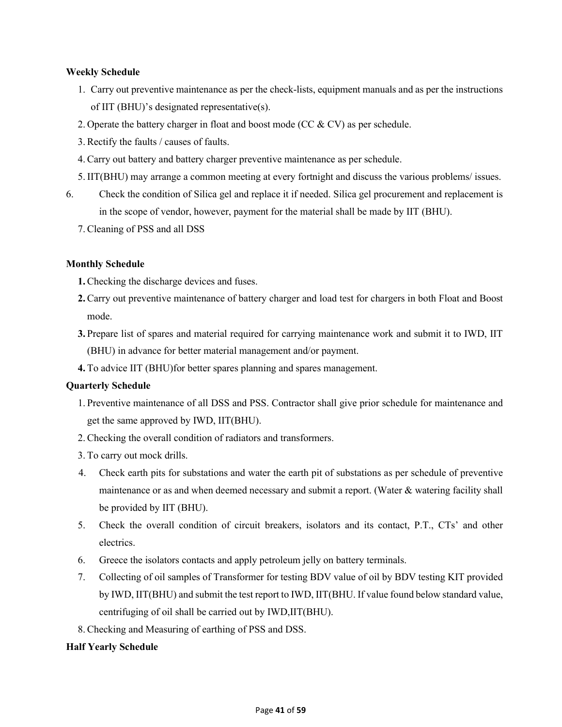# **Weekly Schedule**

- 1. Carry out preventive maintenance as per the check-lists, equipment manuals and as per the instructions of IIT (BHU)'s designated representative(s).
- 2. Operate the battery charger in float and boost mode (CC & CV) as per schedule.
- 3. Rectify the faults / causes of faults.
- 4. Carry out battery and battery charger preventive maintenance as per schedule.
- 5. IIT(BHU) may arrange a common meeting at every fortnight and discuss the various problems/ issues.
- 6. Check the condition of Silica gel and replace it if needed. Silica gel procurement and replacement is in the scope of vendor, however, payment for the material shall be made by IIT (BHU).
	- 7. Cleaning of PSS and all DSS

## **Monthly Schedule**

- **1.** Checking the discharge devices and fuses.
- **2.** Carry out preventive maintenance of battery charger and load test for chargers in both Float and Boost mode.
- **3.** Prepare list of spares and material required for carrying maintenance work and submit it to IWD, IIT (BHU) in advance for better material management and/or payment.
- **4.** To advice IIT (BHU)for better spares planning and spares management.

# **Quarterly Schedule**

- 1. Preventive maintenance of all DSS and PSS. Contractor shall give prior schedule for maintenance and get the same approved by IWD, IIT(BHU).
- 2. Checking the overall condition of radiators and transformers.
- 3. To carry out mock drills.
- 4. Check earth pits for substations and water the earth pit of substations as per schedule of preventive maintenance or as and when deemed necessary and submit a report. (Water & watering facility shall be provided by IIT (BHU).
- 5. Check the overall condition of circuit breakers, isolators and its contact, P.T., CTs' and other electrics.
- 6. Greece the isolators contacts and apply petroleum jelly on battery terminals.
- 7. Collecting of oil samples of Transformer for testing BDV value of oil by BDV testing KIT provided by IWD, IIT(BHU) and submit the test report to IWD, IIT(BHU. If value found below standard value, centrifuging of oil shall be carried out by IWD,IIT(BHU).
- 8. Checking and Measuring of earthing of PSS and DSS.

# **Half Yearly Schedule**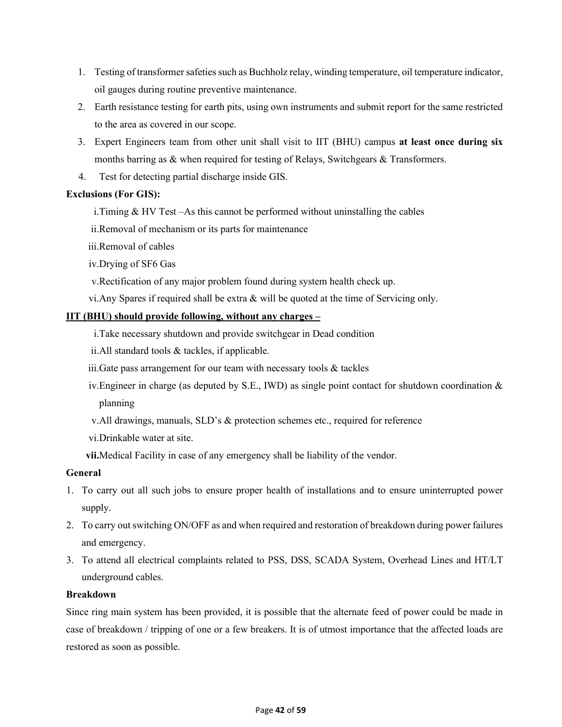- 1. Testing of transformer safeties such as Buchholz relay, winding temperature, oil temperature indicator, oil gauges during routine preventive maintenance.
- 2. Earth resistance testing for earth pits, using own instruments and submit report for the same restricted to the area as covered in our scope.
- 3. Expert Engineers team from other unit shall visit to IIT (BHU) campus **at least once during six** months barring as & when required for testing of Relays, Switchgears & Transformers.
- 4. Test for detecting partial discharge inside GIS.

# **Exclusions (For GIS):**

i.Timing & HV Test –As this cannot be performed without uninstalling the cables

ii.Removal of mechanism or its parts for maintenance

iii.Removal of cables

iv.Drying of SF6 Gas

- v.Rectification of any major problem found during system health check up.
- vi. Any Spares if required shall be extra  $\&$  will be quoted at the time of Servicing only.

# **IIT (BHU) should provide following, without any charges –**

- i.Take necessary shutdown and provide switchgear in Dead condition
- ii.All standard tools & tackles, if applicable.
- iii.Gate pass arrangement for our team with necessary tools & tackles
- iv.Engineer in charge (as deputed by S.E., IWD) as single point contact for shutdown coordination & planning
- v.All drawings, manuals, SLD's & protection schemes etc., required for reference
- vi.Drinkable water at site.
- **vii.**Medical Facility in case of any emergency shall be liability of the vendor.

# **General**

- 1. To carry out all such jobs to ensure proper health of installations and to ensure uninterrupted power supply.
- 2. To carry out switching ON/OFF as and when required and restoration of breakdown during power failures and emergency.
- 3. To attend all electrical complaints related to PSS, DSS, SCADA System, Overhead Lines and HT/LT underground cables.

# **Breakdown**

Since ring main system has been provided, it is possible that the alternate feed of power could be made in case of breakdown / tripping of one or a few breakers. It is of utmost importance that the affected loads are restored as soon as possible.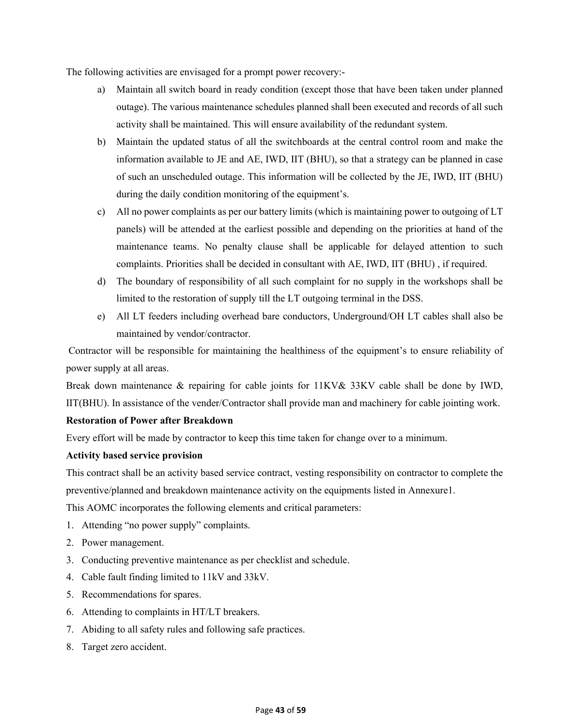The following activities are envisaged for a prompt power recovery:-

- a) Maintain all switch board in ready condition (except those that have been taken under planned outage). The various maintenance schedules planned shall been executed and records of all such activity shall be maintained. This will ensure availability of the redundant system.
- b) Maintain the updated status of all the switchboards at the central control room and make the information available to JE and AE, IWD, IIT (BHU), so that a strategy can be planned in case of such an unscheduled outage. This information will be collected by the JE, IWD, IIT (BHU) during the daily condition monitoring of the equipment's.
- c) All no power complaints as per our battery limits (which is maintaining power to outgoing of LT panels) will be attended at the earliest possible and depending on the priorities at hand of the maintenance teams. No penalty clause shall be applicable for delayed attention to such complaints. Priorities shall be decided in consultant with AE, IWD, IIT (BHU) , if required.
- d) The boundary of responsibility of all such complaint for no supply in the workshops shall be limited to the restoration of supply till the LT outgoing terminal in the DSS.
- e) All LT feeders including overhead bare conductors, Underground/OH LT cables shall also be maintained by vendor/contractor.

Contractor will be responsible for maintaining the healthiness of the equipment's to ensure reliability of power supply at all areas.

Break down maintenance & repairing for cable joints for 11KV& 33KV cable shall be done by IWD, IIT(BHU). In assistance of the vender/Contractor shall provide man and machinery for cable jointing work.

# **Restoration of Power after Breakdown**

Every effort will be made by contractor to keep this time taken for change over to a minimum.

# **Activity based service provision**

This contract shall be an activity based service contract, vesting responsibility on contractor to complete the preventive/planned and breakdown maintenance activity on the equipments listed in Annexure1.

This AOMC incorporates the following elements and critical parameters:

- 1. Attending "no power supply" complaints.
- 2. Power management.
- 3. Conducting preventive maintenance as per checklist and schedule.
- 4. Cable fault finding limited to 11kV and 33kV.
- 5. Recommendations for spares.
- 6. Attending to complaints in HT/LT breakers.
- 7. Abiding to all safety rules and following safe practices.
- 8. Target zero accident.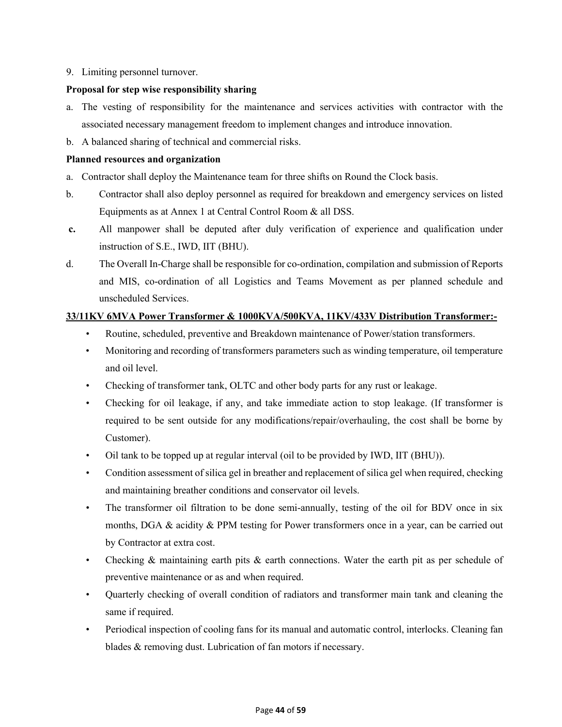9. Limiting personnel turnover.

## **Proposal for step wise responsibility sharing**

- a. The vesting of responsibility for the maintenance and services activities with contractor with the associated necessary management freedom to implement changes and introduce innovation.
- b. A balanced sharing of technical and commercial risks.

## **Planned resources and organization**

- a. Contractor shall deploy the Maintenance team for three shifts on Round the Clock basis.
- b. Contractor shall also deploy personnel as required for breakdown and emergency services on listed Equipments as at Annex 1 at Central Control Room & all DSS.
- **c.** All manpower shall be deputed after duly verification of experience and qualification under instruction of S.E., IWD, IIT (BHU).
- d. The Overall In-Charge shall be responsible for co-ordination, compilation and submission of Reports and MIS, co-ordination of all Logistics and Teams Movement as per planned schedule and unscheduled Services.

# **33/11KV 6MVA Power Transformer & 1000KVA/500KVA, 11KV/433V Distribution Transformer:-**

- Routine, scheduled, preventive and Breakdown maintenance of Power/station transformers.
- Monitoring and recording of transformers parameters such as winding temperature, oil temperature and oil level.
- Checking of transformer tank, OLTC and other body parts for any rust or leakage.
- Checking for oil leakage, if any, and take immediate action to stop leakage. (If transformer is required to be sent outside for any modifications/repair/overhauling, the cost shall be borne by Customer).
- Oil tank to be topped up at regular interval (oil to be provided by IWD, IIT (BHU)).
- Condition assessment of silica gel in breather and replacement of silica gel when required, checking and maintaining breather conditions and conservator oil levels.
- The transformer oil filtration to be done semi-annually, testing of the oil for BDV once in six months, DGA & acidity & PPM testing for Power transformers once in a year, can be carried out by Contractor at extra cost.
- Checking & maintaining earth pits & earth connections. Water the earth pit as per schedule of preventive maintenance or as and when required.
- Quarterly checking of overall condition of radiators and transformer main tank and cleaning the same if required.
- Periodical inspection of cooling fans for its manual and automatic control, interlocks. Cleaning fan blades & removing dust. Lubrication of fan motors if necessary.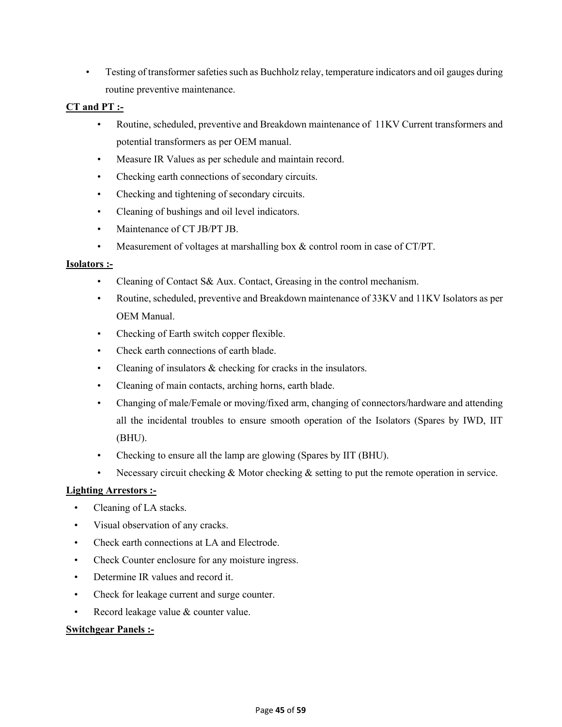• Testing of transformer safeties such as Buchholz relay, temperature indicators and oil gauges during routine preventive maintenance.

## **CT and PT :-**

- Routine, scheduled, preventive and Breakdown maintenance of 11KV Current transformers and potential transformers as per OEM manual.
- Measure IR Values as per schedule and maintain record.
- Checking earth connections of secondary circuits.
- Checking and tightening of secondary circuits.
- Cleaning of bushings and oil level indicators.
- Maintenance of CT JB/PT JB.
- Measurement of voltages at marshalling box & control room in case of CT/PT.

## **Isolators :-**

- Cleaning of Contact S& Aux. Contact, Greasing in the control mechanism.
- Routine, scheduled, preventive and Breakdown maintenance of 33KV and 11KV Isolators as per OEM Manual.
- Checking of Earth switch copper flexible.
- Check earth connections of earth blade.
- Cleaning of insulators & checking for cracks in the insulators.
- Cleaning of main contacts, arching horns, earth blade.
- Changing of male/Female or moving/fixed arm, changing of connectors/hardware and attending all the incidental troubles to ensure smooth operation of the Isolators (Spares by IWD, IIT (BHU).
- Checking to ensure all the lamp are glowing (Spares by IIT (BHU).
- Necessary circuit checking & Motor checking & setting to put the remote operation in service.

# **Lighting Arrestors :-**

- Cleaning of LA stacks.
- Visual observation of any cracks.
- Check earth connections at LA and Electrode.
- Check Counter enclosure for any moisture ingress.
- Determine IR values and record it.
- Check for leakage current and surge counter.
- Record leakage value & counter value.

# **Switchgear Panels :-**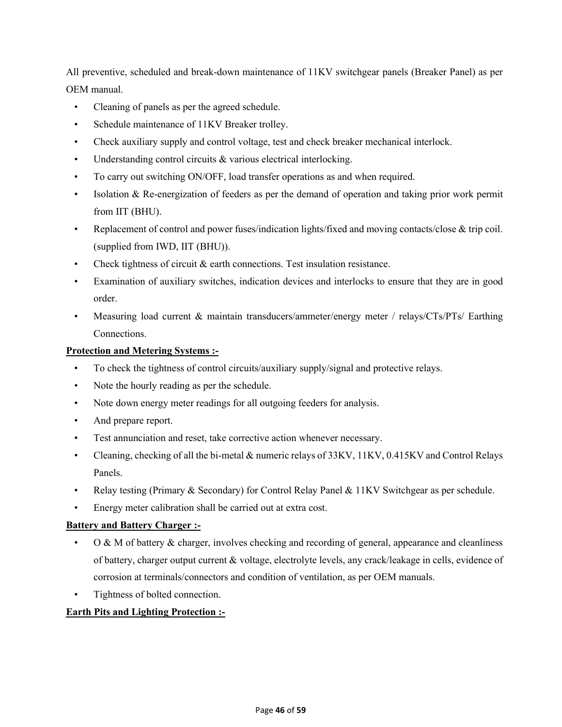All preventive, scheduled and break-down maintenance of 11KV switchgear panels (Breaker Panel) as per OEM manual.

- Cleaning of panels as per the agreed schedule.
- Schedule maintenance of 11KV Breaker trolley.
- Check auxiliary supply and control voltage, test and check breaker mechanical interlock.
- Understanding control circuits & various electrical interlocking.
- To carry out switching ON/OFF, load transfer operations as and when required.
- Isolation & Re-energization of feeders as per the demand of operation and taking prior work permit from IIT (BHU).
- Replacement of control and power fuses/indication lights/fixed and moving contacts/close & trip coil. (supplied from IWD, IIT (BHU)).
- Check tightness of circuit  $\&$  earth connections. Test insulation resistance.
- Examination of auxiliary switches, indication devices and interlocks to ensure that they are in good order.
- Measuring load current & maintain transducers/ammeter/energy meter / relays/CTs/PTs/ Earthing Connections.

# **Protection and Metering Systems :-**

- To check the tightness of control circuits/auxiliary supply/signal and protective relays.
- Note the hourly reading as per the schedule.
- Note down energy meter readings for all outgoing feeders for analysis.
- And prepare report.
- Test annunciation and reset, take corrective action whenever necessary.
- Cleaning, checking of all the bi-metal & numeric relays of 33KV, 11KV, 0.415KV and Control Relays Panels.
- Relay testing (Primary & Secondary) for Control Relay Panel & 11KV Switchgear as per schedule.
- Energy meter calibration shall be carried out at extra cost.

# **Battery and Battery Charger :-**

- O & M of battery & charger, involves checking and recording of general, appearance and cleanliness of battery, charger output current & voltage, electrolyte levels, any crack/leakage in cells, evidence of corrosion at terminals/connectors and condition of ventilation, as per OEM manuals.
- Tightness of bolted connection.

# **Earth Pits and Lighting Protection :-**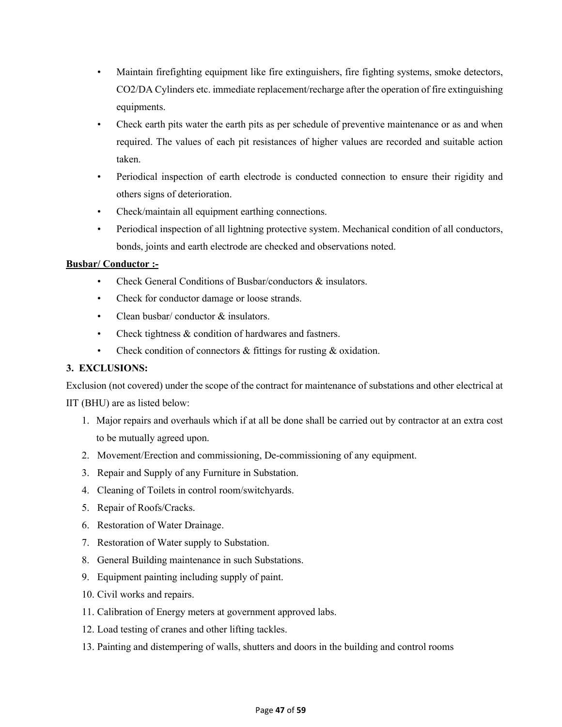- Maintain firefighting equipment like fire extinguishers, fire fighting systems, smoke detectors, CO2/DA Cylinders etc. immediate replacement/recharge after the operation of fire extinguishing equipments.
- Check earth pits water the earth pits as per schedule of preventive maintenance or as and when required. The values of each pit resistances of higher values are recorded and suitable action taken.
- Periodical inspection of earth electrode is conducted connection to ensure their rigidity and others signs of deterioration.
- Check/maintain all equipment earthing connections.
- Periodical inspection of all lightning protective system. Mechanical condition of all conductors, bonds, joints and earth electrode are checked and observations noted.

# **Busbar/ Conductor :-**

- Check General Conditions of Busbar/conductors & insulators.
- Check for conductor damage or loose strands.
- Clean busbar/ conductor & insulators.
- Check tightness & condition of hardwares and fastners.
- Check condition of connectors & fittings for rusting & oxidation.

# **3. EXCLUSIONS:**

Exclusion (not covered) under the scope of the contract for maintenance of substations and other electrical at IIT (BHU) are as listed below:

- 1. Major repairs and overhauls which if at all be done shall be carried out by contractor at an extra cost to be mutually agreed upon.
- 2. Movement/Erection and commissioning, De-commissioning of any equipment.
- 3. Repair and Supply of any Furniture in Substation.
- 4. Cleaning of Toilets in control room/switchyards.
- 5. Repair of Roofs/Cracks.
- 6. Restoration of Water Drainage.
- 7. Restoration of Water supply to Substation.
- 8. General Building maintenance in such Substations.
- 9. Equipment painting including supply of paint.
- 10. Civil works and repairs.
- 11. Calibration of Energy meters at government approved labs.
- 12. Load testing of cranes and other lifting tackles.
- 13. Painting and distempering of walls, shutters and doors in the building and control rooms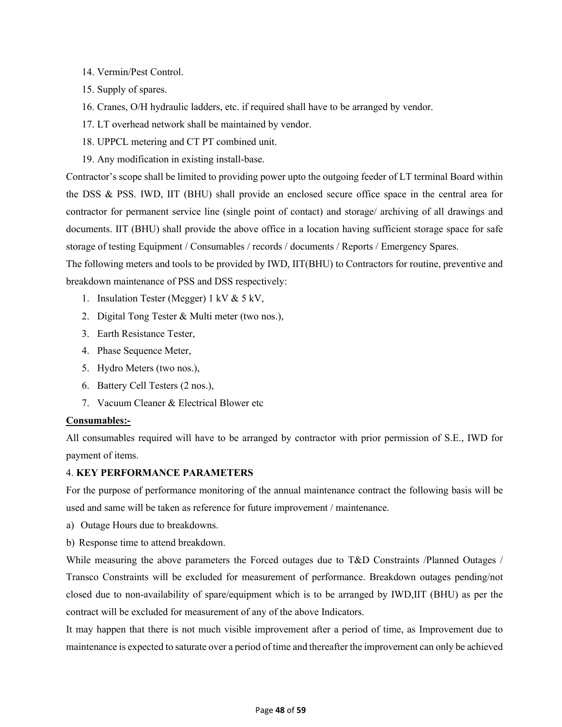- 14. Vermin/Pest Control.
- 15. Supply of spares.
- 16. Cranes, O/H hydraulic ladders, etc. if required shall have to be arranged by vendor.
- 17. LT overhead network shall be maintained by vendor.
- 18. UPPCL metering and CT PT combined unit.
- 19. Any modification in existing install-base.

Contractor's scope shall be limited to providing power upto the outgoing feeder of LT terminal Board within the DSS & PSS. IWD, IIT (BHU) shall provide an enclosed secure office space in the central area for contractor for permanent service line (single point of contact) and storage/ archiving of all drawings and documents. IIT (BHU) shall provide the above office in a location having sufficient storage space for safe storage of testing Equipment / Consumables / records / documents / Reports / Emergency Spares.

The following meters and tools to be provided by IWD, IIT(BHU) to Contractors for routine, preventive and breakdown maintenance of PSS and DSS respectively:

- 1. Insulation Tester (Megger) 1 kV & 5 kV,
- 2. Digital Tong Tester & Multi meter (two nos.),
- 3. Earth Resistance Tester,
- 4. Phase Sequence Meter,
- 5. Hydro Meters (two nos.),
- 6. Battery Cell Testers (2 nos.),
- 7. Vacuum Cleaner & Electrical Blower etc

## **Consumables:-**

All consumables required will have to be arranged by contractor with prior permission of S.E., IWD for payment of items.

## 4. **KEY PERFORMANCE PARAMETERS**

For the purpose of performance monitoring of the annual maintenance contract the following basis will be used and same will be taken as reference for future improvement / maintenance.

- a) Outage Hours due to breakdowns.
- b) Response time to attend breakdown.

While measuring the above parameters the Forced outages due to T&D Constraints /Planned Outages / Transco Constraints will be excluded for measurement of performance. Breakdown outages pending/not closed due to non-availability of spare/equipment which is to be arranged by IWD,IIT (BHU) as per the contract will be excluded for measurement of any of the above Indicators.

It may happen that there is not much visible improvement after a period of time, as Improvement due to maintenance is expected to saturate over a period of time and thereafter the improvement can only be achieved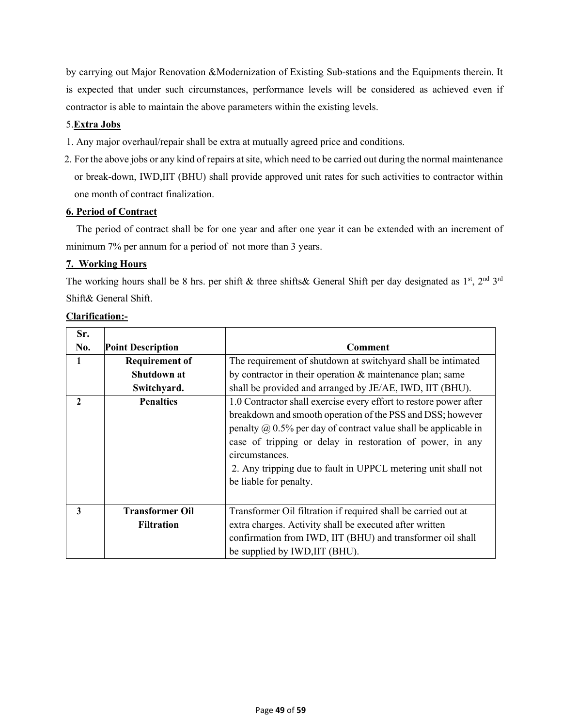by carrying out Major Renovation &Modernization of Existing Sub-stations and the Equipments therein. It is expected that under such circumstances, performance levels will be considered as achieved even if contractor is able to maintain the above parameters within the existing levels.

# 5.**Extra Jobs**

- 1. Any major overhaul/repair shall be extra at mutually agreed price and conditions.
- 2. For the above jobs or any kind of repairs at site, which need to be carried out during the normal maintenance or break-down, IWD,IIT (BHU) shall provide approved unit rates for such activities to contractor within one month of contract finalization.

# **6. Period of Contract**

 The period of contract shall be for one year and after one year it can be extended with an increment of minimum 7% per annum for a period of not more than 3 years.

# **7. Working Hours**

The working hours shall be 8 hrs. per shift & three shifts& General Shift per day designated as 1<sup>st</sup>, 2<sup>nd</sup> 3<sup>rd</sup> Shift& General Shift.

| Sr. |                                             |                                                                                                                                                                                                                                                                                                                                                                                     |
|-----|---------------------------------------------|-------------------------------------------------------------------------------------------------------------------------------------------------------------------------------------------------------------------------------------------------------------------------------------------------------------------------------------------------------------------------------------|
| No. | <b>Point Description</b>                    | Comment                                                                                                                                                                                                                                                                                                                                                                             |
| 1   | <b>Requirement of</b>                       | The requirement of shutdown at switchyard shall be intimated                                                                                                                                                                                                                                                                                                                        |
|     | Shutdown at                                 | by contractor in their operation & maintenance plan; same                                                                                                                                                                                                                                                                                                                           |
|     | Switchyard.                                 | shall be provided and arranged by JE/AE, IWD, IIT (BHU).                                                                                                                                                                                                                                                                                                                            |
| 2   | <b>Penalties</b>                            | 1.0 Contractor shall exercise every effort to restore power after<br>breakdown and smooth operation of the PSS and DSS; however<br>penalty $\omega$ 0.5% per day of contract value shall be applicable in<br>case of tripping or delay in restoration of power, in any<br>circumstances.<br>2. Any tripping due to fault in UPPCL metering unit shall not<br>be liable for penalty. |
| 3   | <b>Transformer Oil</b><br><b>Filtration</b> | Transformer Oil filtration if required shall be carried out at<br>extra charges. Activity shall be executed after written<br>confirmation from IWD, IIT (BHU) and transformer oil shall<br>be supplied by IWD, IIT (BHU).                                                                                                                                                           |

# **Clarification:-**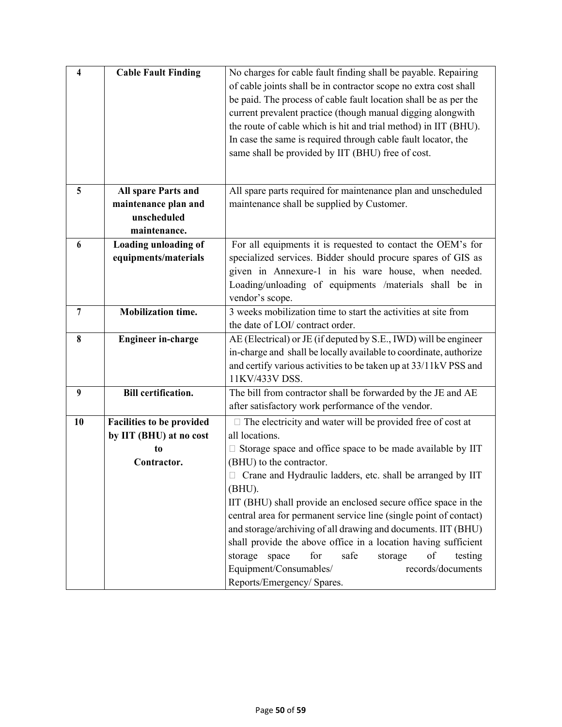| 4  | <b>Cable Fault Finding</b>       | No charges for cable fault finding shall be payable. Repairing    |  |
|----|----------------------------------|-------------------------------------------------------------------|--|
|    |                                  |                                                                   |  |
|    |                                  | of cable joints shall be in contractor scope no extra cost shall  |  |
|    |                                  | be paid. The process of cable fault location shall be as per the  |  |
|    |                                  | current prevalent practice (though manual digging alongwith       |  |
|    |                                  | the route of cable which is hit and trial method) in IIT (BHU).   |  |
|    |                                  | In case the same is required through cable fault locator, the     |  |
|    |                                  | same shall be provided by IIT (BHU) free of cost.                 |  |
|    |                                  |                                                                   |  |
|    |                                  |                                                                   |  |
| 5  | All spare Parts and              | All spare parts required for maintenance plan and unscheduled     |  |
|    | maintenance plan and             | maintenance shall be supplied by Customer.                        |  |
|    | unscheduled                      |                                                                   |  |
|    | maintenance.                     |                                                                   |  |
| 6  | <b>Loading unloading of</b>      | For all equipments it is requested to contact the OEM's for       |  |
|    | equipments/materials             | specialized services. Bidder should procure spares of GIS as      |  |
|    |                                  | given in Annexure-1 in his ware house, when needed.               |  |
|    |                                  | Loading/unloading of equipments /materials shall be in            |  |
|    |                                  | vendor's scope.                                                   |  |
| 7  | <b>Mobilization time.</b>        | 3 weeks mobilization time to start the activities at site from    |  |
|    |                                  | the date of LOI/ contract order.                                  |  |
| 8  | <b>Engineer in-charge</b>        | AE (Electrical) or JE (if deputed by S.E., IWD) will be engineer  |  |
|    |                                  | in-charge and shall be locally available to coordinate, authorize |  |
|    |                                  | and certify various activities to be taken up at 33/11kV PSS and  |  |
|    |                                  | 11KV/433V DSS.                                                    |  |
| 9  | <b>Bill certification.</b>       | The bill from contractor shall be forwarded by the JE and AE      |  |
|    |                                  | after satisfactory work performance of the vendor.                |  |
|    |                                  |                                                                   |  |
| 10 | <b>Facilities to be provided</b> | $\Box$ The electricity and water will be provided free of cost at |  |
|    | by IIT (BHU) at no cost          | all locations.                                                    |  |
|    | to                               | Storage space and office space to be made available by IIT        |  |
|    | Contractor.                      | (BHU) to the contractor.                                          |  |
|    |                                  | □ Crane and Hydraulic ladders, etc. shall be arranged by IIT      |  |
|    |                                  | (BHU).                                                            |  |
|    |                                  | IIT (BHU) shall provide an enclosed secure office space in the    |  |
|    |                                  | central area for permanent service line (single point of contact) |  |
|    |                                  | and storage/archiving of all drawing and documents. IIT (BHU)     |  |
|    |                                  | shall provide the above office in a location having sufficient    |  |
|    |                                  | for<br>safe<br>of<br>storage<br>space<br>storage<br>testing       |  |
|    |                                  | Equipment/Consumables/<br>records/documents                       |  |
|    |                                  | Reports/Emergency/ Spares.                                        |  |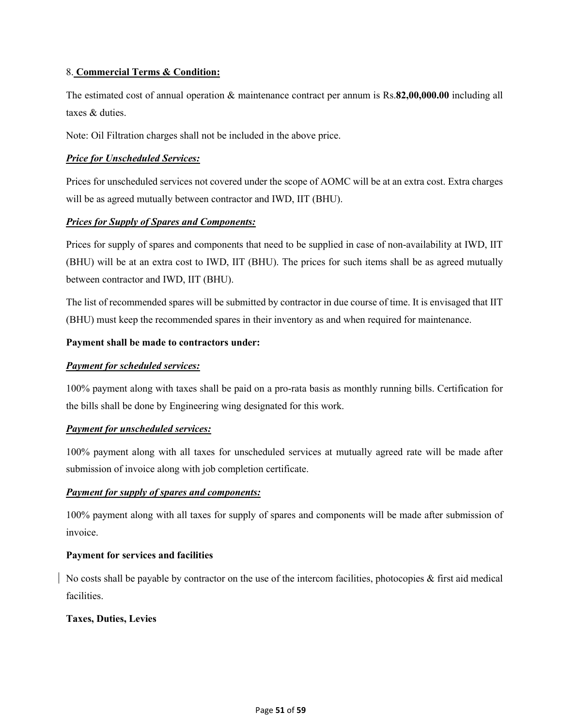# 8. **Commercial Terms & Condition:**

The estimated cost of annual operation & maintenance contract per annum is Rs.**82,00,000.00** including all taxes & duties.

Note: Oil Filtration charges shall not be included in the above price.

# *Price for Unscheduled Services:*

Prices for unscheduled services not covered under the scope of AOMC will be at an extra cost. Extra charges will be as agreed mutually between contractor and IWD, IIT (BHU).

# *Prices for Supply of Spares and Components:*

Prices for supply of spares and components that need to be supplied in case of non-availability at IWD, IIT (BHU) will be at an extra cost to IWD, IIT (BHU). The prices for such items shall be as agreed mutually between contractor and IWD, IIT (BHU).

The list of recommended spares will be submitted by contractor in due course of time. It is envisaged that IIT (BHU) must keep the recommended spares in their inventory as and when required for maintenance.

# **Payment shall be made to contractors under:**

# *Payment for scheduled services:*

100% payment along with taxes shall be paid on a pro-rata basis as monthly running bills. Certification for the bills shall be done by Engineering wing designated for this work.

# *Payment for unscheduled services:*

100% payment along with all taxes for unscheduled services at mutually agreed rate will be made after submission of invoice along with job completion certificate.

# *Payment for supply of spares and components:*

100% payment along with all taxes for supply of spares and components will be made after submission of invoice.

# **Payment for services and facilities**

No costs shall be payable by contractor on the use of the intercom facilities, photocopies & first aid medical facilities.

# **Taxes, Duties, Levies**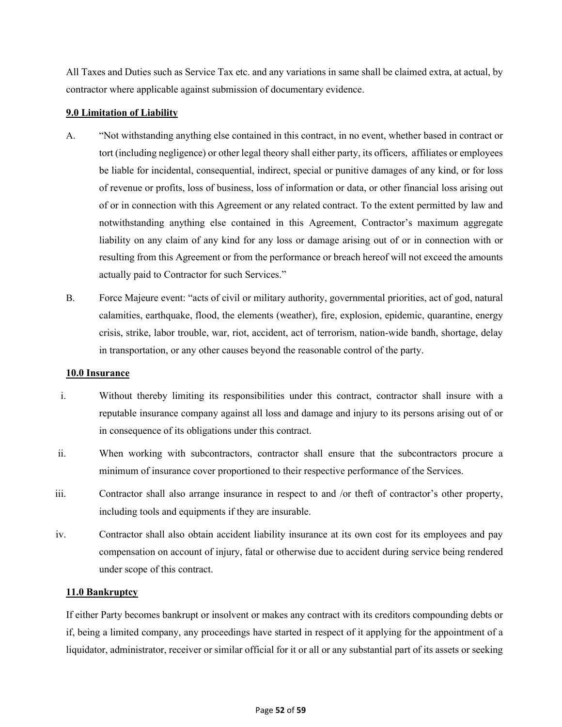All Taxes and Duties such as Service Tax etc. and any variations in same shall be claimed extra, at actual, by contractor where applicable against submission of documentary evidence.

## **9.0 Limitation of Liability**

- A. "Not withstanding anything else contained in this contract, in no event, whether based in contract or tort (including negligence) or other legal theory shall either party, its officers, affiliates or employees be liable for incidental, consequential, indirect, special or punitive damages of any kind, or for loss of revenue or profits, loss of business, loss of information or data, or other financial loss arising out of or in connection with this Agreement or any related contract. To the extent permitted by law and notwithstanding anything else contained in this Agreement, Contractor's maximum aggregate liability on any claim of any kind for any loss or damage arising out of or in connection with or resulting from this Agreement or from the performance or breach hereof will not exceed the amounts actually paid to Contractor for such Services."
- B. Force Majeure event: "acts of civil or military authority, governmental priorities, act of god, natural calamities, earthquake, flood, the elements (weather), fire, explosion, epidemic, quarantine, energy crisis, strike, labor trouble, war, riot, accident, act of terrorism, nation-wide bandh, shortage, delay in transportation, or any other causes beyond the reasonable control of the party.

## **10.0 Insurance**

- i. Without thereby limiting its responsibilities under this contract, contractor shall insure with a reputable insurance company against all loss and damage and injury to its persons arising out of or in consequence of its obligations under this contract.
- ii. When working with subcontractors, contractor shall ensure that the subcontractors procure a minimum of insurance cover proportioned to their respective performance of the Services.
- iii. Contractor shall also arrange insurance in respect to and /or theft of contractor's other property, including tools and equipments if they are insurable.
- iv. Contractor shall also obtain accident liability insurance at its own cost for its employees and pay compensation on account of injury, fatal or otherwise due to accident during service being rendered under scope of this contract.

## **11.0 Bankruptcy**

If either Party becomes bankrupt or insolvent or makes any contract with its creditors compounding debts or if, being a limited company, any proceedings have started in respect of it applying for the appointment of a liquidator, administrator, receiver or similar official for it or all or any substantial part of its assets or seeking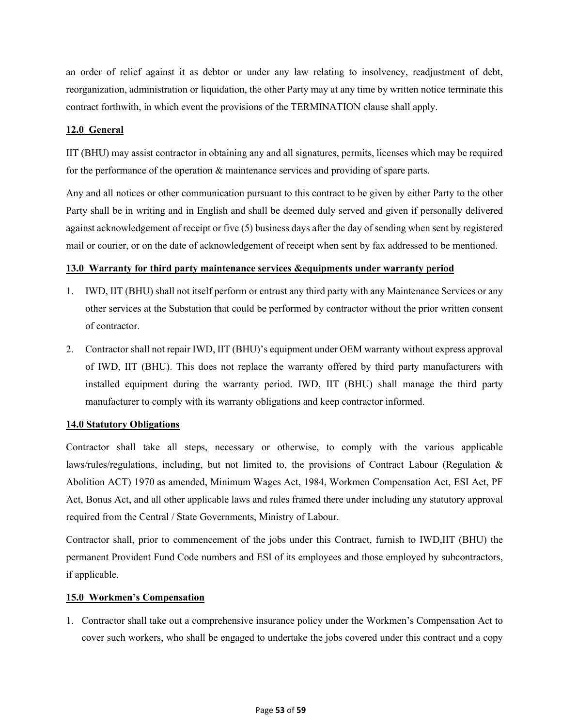an order of relief against it as debtor or under any law relating to insolvency, readjustment of debt, reorganization, administration or liquidation, the other Party may at any time by written notice terminate this contract forthwith, in which event the provisions of the TERMINATION clause shall apply.

## **12.0 General**

IIT (BHU) may assist contractor in obtaining any and all signatures, permits, licenses which may be required for the performance of the operation & maintenance services and providing of spare parts.

Any and all notices or other communication pursuant to this contract to be given by either Party to the other Party shall be in writing and in English and shall be deemed duly served and given if personally delivered against acknowledgement of receipt or five (5) business days after the day of sending when sent by registered mail or courier, or on the date of acknowledgement of receipt when sent by fax addressed to be mentioned.

# **13.0 Warranty for third party maintenance services &equipments under warranty period**

- 1. IWD, IIT (BHU) shall not itself perform or entrust any third party with any Maintenance Services or any other services at the Substation that could be performed by contractor without the prior written consent of contractor.
- 2. Contractor shall not repair IWD, IIT (BHU)'s equipment under OEM warranty without express approval of IWD, IIT (BHU). This does not replace the warranty offered by third party manufacturers with installed equipment during the warranty period. IWD, IIT (BHU) shall manage the third party manufacturer to comply with its warranty obligations and keep contractor informed.

## **14.0 Statutory Obligations**

Contractor shall take all steps, necessary or otherwise, to comply with the various applicable laws/rules/regulations, including, but not limited to, the provisions of Contract Labour (Regulation & Abolition ACT) 1970 as amended, Minimum Wages Act, 1984, Workmen Compensation Act, ESI Act, PF Act, Bonus Act, and all other applicable laws and rules framed there under including any statutory approval required from the Central / State Governments, Ministry of Labour.

Contractor shall, prior to commencement of the jobs under this Contract, furnish to IWD,IIT (BHU) the permanent Provident Fund Code numbers and ESI of its employees and those employed by subcontractors, if applicable.

## **15.0 Workmen's Compensation**

1. Contractor shall take out a comprehensive insurance policy under the Workmen's Compensation Act to cover such workers, who shall be engaged to undertake the jobs covered under this contract and a copy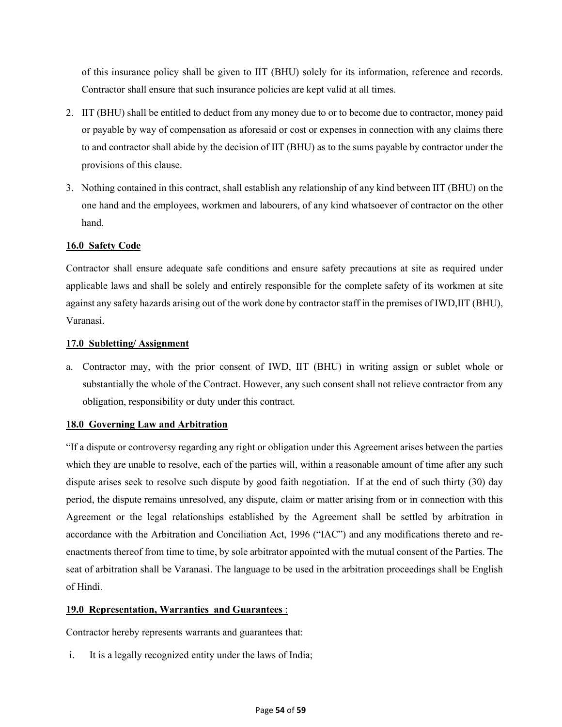of this insurance policy shall be given to IIT (BHU) solely for its information, reference and records. Contractor shall ensure that such insurance policies are kept valid at all times.

- 2. IIT (BHU) shall be entitled to deduct from any money due to or to become due to contractor, money paid or payable by way of compensation as aforesaid or cost or expenses in connection with any claims there to and contractor shall abide by the decision of IIT (BHU) as to the sums payable by contractor under the provisions of this clause.
- 3. Nothing contained in this contract, shall establish any relationship of any kind between IIT (BHU) on the one hand and the employees, workmen and labourers, of any kind whatsoever of contractor on the other hand.

# **16.0 Safety Code**

Contractor shall ensure adequate safe conditions and ensure safety precautions at site as required under applicable laws and shall be solely and entirely responsible for the complete safety of its workmen at site against any safety hazards arising out of the work done by contractor staff in the premises of IWD,IIT (BHU), Varanasi.

# **17.0 Subletting/ Assignment**

a. Contractor may, with the prior consent of IWD, IIT (BHU) in writing assign or sublet whole or substantially the whole of the Contract. However, any such consent shall not relieve contractor from any obligation, responsibility or duty under this contract.

# **18.0 Governing Law and Arbitration**

"If a dispute or controversy regarding any right or obligation under this Agreement arises between the parties which they are unable to resolve, each of the parties will, within a reasonable amount of time after any such dispute arises seek to resolve such dispute by good faith negotiation. If at the end of such thirty (30) day period, the dispute remains unresolved, any dispute, claim or matter arising from or in connection with this Agreement or the legal relationships established by the Agreement shall be settled by arbitration in accordance with the Arbitration and Conciliation Act, 1996 ("IAC") and any modifications thereto and reenactments thereof from time to time, by sole arbitrator appointed with the mutual consent of the Parties. The seat of arbitration shall be Varanasi. The language to be used in the arbitration proceedings shall be English of Hindi.

# **19.0 Representation, Warranties and Guarantees** :

Contractor hereby represents warrants and guarantees that:

i. It is a legally recognized entity under the laws of India;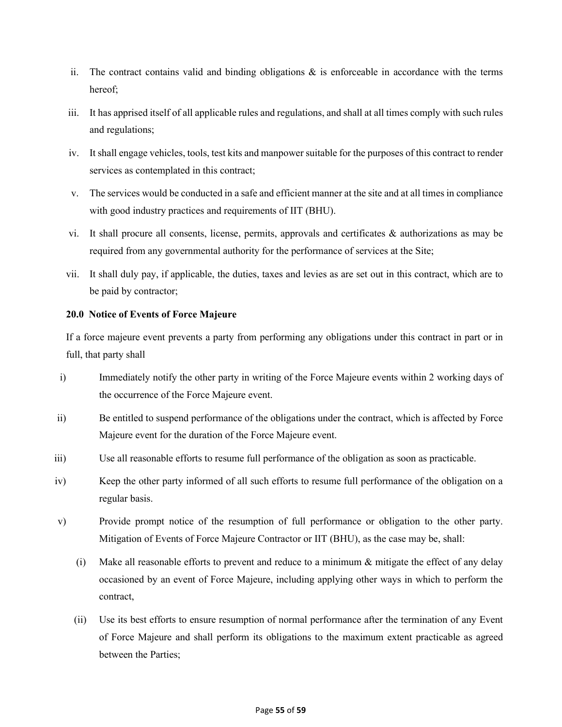- ii. The contract contains valid and binding obligations  $\&$  is enforceable in accordance with the terms hereof;
- iii. It has apprised itself of all applicable rules and regulations, and shall at all times comply with such rules and regulations;
- iv. It shall engage vehicles, tools, test kits and manpower suitable for the purposes of this contract to render services as contemplated in this contract;
- v. The services would be conducted in a safe and efficient manner at the site and at all times in compliance with good industry practices and requirements of IIT (BHU).
- vi. It shall procure all consents, license, permits, approvals and certificates & authorizations as may be required from any governmental authority for the performance of services at the Site;
- vii. It shall duly pay, if applicable, the duties, taxes and levies as are set out in this contract, which are to be paid by contractor;

# **20.0 Notice of Events of Force Majeure**

If a force majeure event prevents a party from performing any obligations under this contract in part or in full, that party shall

- i) Immediately notify the other party in writing of the Force Majeure events within 2 working days of the occurrence of the Force Majeure event.
- ii) Be entitled to suspend performance of the obligations under the contract, which is affected by Force Majeure event for the duration of the Force Majeure event.
- iii) Use all reasonable efforts to resume full performance of the obligation as soon as practicable.
- iv) Keep the other party informed of all such efforts to resume full performance of the obligation on a regular basis.
- v) Provide prompt notice of the resumption of full performance or obligation to the other party. Mitigation of Events of Force Majeure Contractor or IIT (BHU), as the case may be, shall:
	- (i) Make all reasonable efforts to prevent and reduce to a minimum & mitigate the effect of any delay occasioned by an event of Force Majeure, including applying other ways in which to perform the contract,
	- (ii) Use its best efforts to ensure resumption of normal performance after the termination of any Event of Force Majeure and shall perform its obligations to the maximum extent practicable as agreed between the Parties;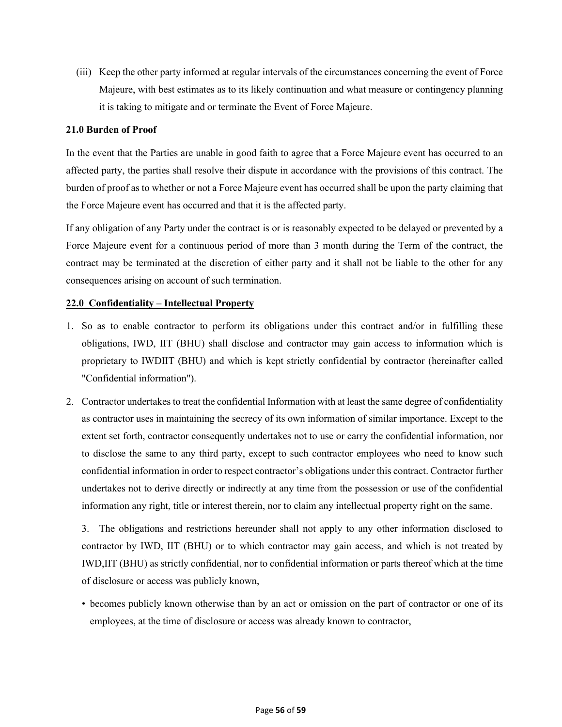(iii) Keep the other party informed at regular intervals of the circumstances concerning the event of Force Majeure, with best estimates as to its likely continuation and what measure or contingency planning it is taking to mitigate and or terminate the Event of Force Majeure.

## **21.0 Burden of Proof**

In the event that the Parties are unable in good faith to agree that a Force Majeure event has occurred to an affected party, the parties shall resolve their dispute in accordance with the provisions of this contract. The burden of proof as to whether or not a Force Majeure event has occurred shall be upon the party claiming that the Force Majeure event has occurred and that it is the affected party.

If any obligation of any Party under the contract is or is reasonably expected to be delayed or prevented by a Force Majeure event for a continuous period of more than 3 month during the Term of the contract, the contract may be terminated at the discretion of either party and it shall not be liable to the other for any consequences arising on account of such termination.

# **22.0 Confidentiality – Intellectual Property**

- 1. So as to enable contractor to perform its obligations under this contract and/or in fulfilling these obligations, IWD, IIT (BHU) shall disclose and contractor may gain access to information which is proprietary to IWDIIT (BHU) and which is kept strictly confidential by contractor (hereinafter called "Confidential information").
- 2. Contractor undertakes to treat the confidential Information with at least the same degree of confidentiality as contractor uses in maintaining the secrecy of its own information of similar importance. Except to the extent set forth, contractor consequently undertakes not to use or carry the confidential information, nor to disclose the same to any third party, except to such contractor employees who need to know such confidential information in order to respect contractor's obligations under this contract. Contractor further undertakes not to derive directly or indirectly at any time from the possession or use of the confidential information any right, title or interest therein, nor to claim any intellectual property right on the same.

3. The obligations and restrictions hereunder shall not apply to any other information disclosed to contractor by IWD, IIT (BHU) or to which contractor may gain access, and which is not treated by IWD,IIT (BHU) as strictly confidential, nor to confidential information or parts thereof which at the time of disclosure or access was publicly known,

• becomes publicly known otherwise than by an act or omission on the part of contractor or one of its employees, at the time of disclosure or access was already known to contractor,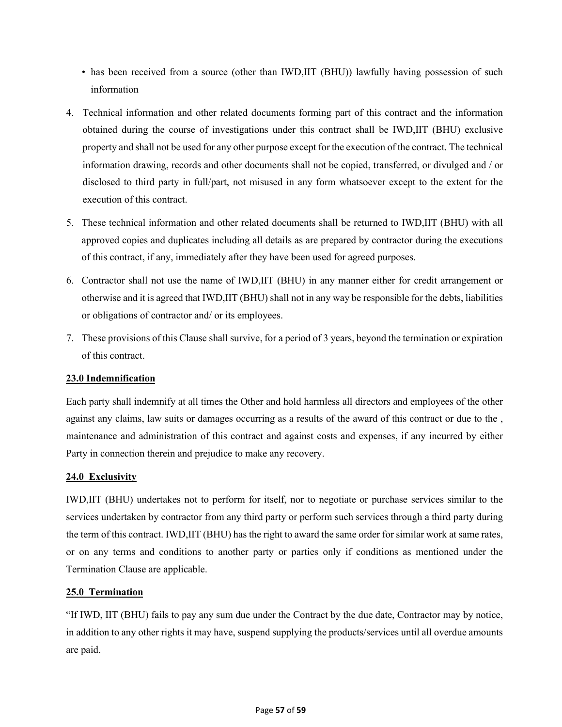- has been received from a source (other than IWD, IIT (BHU)) lawfully having possession of such information
- 4. Technical information and other related documents forming part of this contract and the information obtained during the course of investigations under this contract shall be IWD,IIT (BHU) exclusive property and shall not be used for any other purpose except for the execution of the contract. The technical information drawing, records and other documents shall not be copied, transferred, or divulged and / or disclosed to third party in full/part, not misused in any form whatsoever except to the extent for the execution of this contract.
- 5. These technical information and other related documents shall be returned to IWD,IIT (BHU) with all approved copies and duplicates including all details as are prepared by contractor during the executions of this contract, if any, immediately after they have been used for agreed purposes.
- 6. Contractor shall not use the name of IWD,IIT (BHU) in any manner either for credit arrangement or otherwise and it is agreed that IWD,IIT (BHU) shall not in any way be responsible for the debts, liabilities or obligations of contractor and/ or its employees.
- 7. These provisions of this Clause shall survive, for a period of 3 years, beyond the termination or expiration of this contract.

# **23.0 Indemnification**

Each party shall indemnify at all times the Other and hold harmless all directors and employees of the other against any claims, law suits or damages occurring as a results of the award of this contract or due to the , maintenance and administration of this contract and against costs and expenses, if any incurred by either Party in connection therein and prejudice to make any recovery.

# **24.0 Exclusivity**

IWD,IIT (BHU) undertakes not to perform for itself, nor to negotiate or purchase services similar to the services undertaken by contractor from any third party or perform such services through a third party during the term of this contract. IWD,IIT (BHU) has the right to award the same order for similar work at same rates, or on any terms and conditions to another party or parties only if conditions as mentioned under the Termination Clause are applicable.

# **25.0 Termination**

"If IWD, IIT (BHU) fails to pay any sum due under the Contract by the due date, Contractor may by notice, in addition to any other rights it may have, suspend supplying the products/services until all overdue amounts are paid.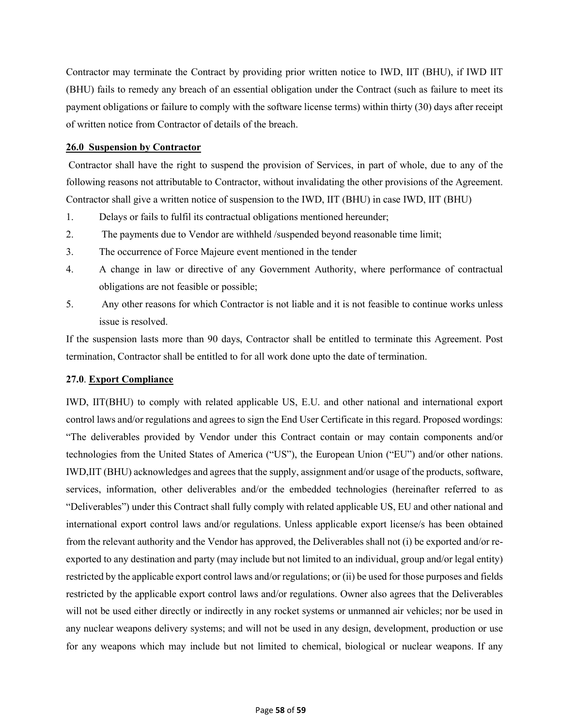Contractor may terminate the Contract by providing prior written notice to IWD, IIT (BHU), if IWD IIT (BHU) fails to remedy any breach of an essential obligation under the Contract (such as failure to meet its payment obligations or failure to comply with the software license terms) within thirty (30) days after receipt of written notice from Contractor of details of the breach.

## **26.0 Suspension by Contractor**

Contractor shall have the right to suspend the provision of Services, in part of whole, due to any of the following reasons not attributable to Contractor, without invalidating the other provisions of the Agreement. Contractor shall give a written notice of suspension to the IWD, IIT (BHU) in case IWD, IIT (BHU)

- 1. Delays or fails to fulfil its contractual obligations mentioned hereunder;
- 2. The payments due to Vendor are withheld /suspended beyond reasonable time limit;
- 3. The occurrence of Force Majeure event mentioned in the tender
- 4. A change in law or directive of any Government Authority, where performance of contractual obligations are not feasible or possible;
- 5. Any other reasons for which Contractor is not liable and it is not feasible to continue works unless issue is resolved.

If the suspension lasts more than 90 days, Contractor shall be entitled to terminate this Agreement. Post termination, Contractor shall be entitled to for all work done upto the date of termination.

# **27.0**. **Export Compliance**

IWD, IIT(BHU) to comply with related applicable US, E.U. and other national and international export control laws and/or regulations and agrees to sign the End User Certificate in this regard. Proposed wordings: "The deliverables provided by Vendor under this Contract contain or may contain components and/or technologies from the United States of America ("US"), the European Union ("EU") and/or other nations. IWD,IIT (BHU) acknowledges and agrees that the supply, assignment and/or usage of the products, software, services, information, other deliverables and/or the embedded technologies (hereinafter referred to as "Deliverables") under this Contract shall fully comply with related applicable US, EU and other national and international export control laws and/or regulations. Unless applicable export license/s has been obtained from the relevant authority and the Vendor has approved, the Deliverables shall not (i) be exported and/or reexported to any destination and party (may include but not limited to an individual, group and/or legal entity) restricted by the applicable export control laws and/or regulations; or (ii) be used for those purposes and fields restricted by the applicable export control laws and/or regulations. Owner also agrees that the Deliverables will not be used either directly or indirectly in any rocket systems or unmanned air vehicles; nor be used in any nuclear weapons delivery systems; and will not be used in any design, development, production or use for any weapons which may include but not limited to chemical, biological or nuclear weapons. If any